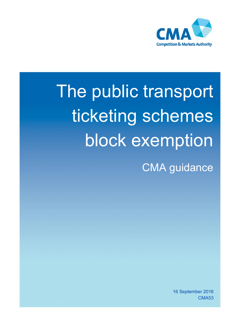

# The public transport ticketing schemes block exemption

CMA guidance

16 September 2016 CMA53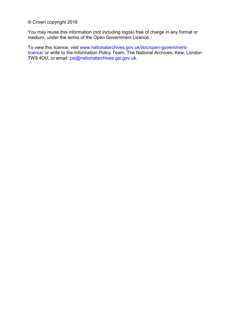© Crown copyright 2016

You may reuse this information (not including logos) free of charge in any format or medium, under the terms of the Open Government Licence.

To view this licence, visit [www.nationalarchives.gov.uk/doc/open-government](http://www.nationalarchives.gov.uk/doc/open-government-licence/)[licence/](http://www.nationalarchives.gov.uk/doc/open-government-licence/) or write to the Information Policy Team, The National Archives, Kew, London TW9 4DU, or email: [psi@nationalarchives.gsi.gov.uk.](mailto:psi@nationalarchives.gsi.gov.uk)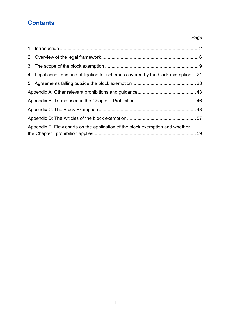# **Contents**

## *Page*

|  | 4. Legal conditions and obligation for schemes covered by the block exemption  21 |  |
|--|-----------------------------------------------------------------------------------|--|
|  |                                                                                   |  |
|  |                                                                                   |  |
|  |                                                                                   |  |
|  |                                                                                   |  |
|  |                                                                                   |  |
|  | Appendix E: Flow charts on the application of the block exemption and whether     |  |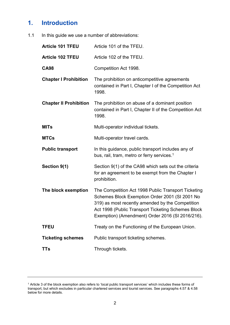## <span id="page-3-0"></span>**1. Introduction**

1.1 In this guide we use a number of abbreviations:

| <b>Article 101 TFEU</b>       | Article 101 of the TFEU.                                                                                                                                                                                                                                            |
|-------------------------------|---------------------------------------------------------------------------------------------------------------------------------------------------------------------------------------------------------------------------------------------------------------------|
| <b>Article 102 TFEU</b>       | Article 102 of the TFEU.                                                                                                                                                                                                                                            |
| <b>CA98</b>                   | Competition Act 1998.                                                                                                                                                                                                                                               |
| <b>Chapter I Prohibition</b>  | The prohibition on anticompetitive agreements<br>contained in Part I, Chapter I of the Competition Act<br>1998.                                                                                                                                                     |
| <b>Chapter II Prohibition</b> | The prohibition on abuse of a dominant position<br>contained in Part I, Chapter II of the Competition Act<br>1998.                                                                                                                                                  |
| <b>MITs</b>                   | Multi-operator individual tickets.                                                                                                                                                                                                                                  |
| <b>MTCs</b>                   | Multi-operator travel cards.                                                                                                                                                                                                                                        |
| <b>Public transport</b>       | In this guidance, public transport includes any of<br>bus, rail, tram, metro or ferry services. <sup>1</sup>                                                                                                                                                        |
| Section 9(1)                  | Section 9(1) of the CA98 which sets out the criteria<br>for an agreement to be exempt from the Chapter I<br>prohibition.                                                                                                                                            |
| The block exemption           | The Competition Act 1998 Public Transport Ticketing<br>Schemes Block Exemption Order 2001 (SI 2001 No<br>319) as most recently amended by the Competition<br>Act 1998 (Public Transport Ticketing Schemes Block<br>Exemption) (Amendment) Order 2016 (SI 2016/216). |
| <b>TFEU</b>                   | Treaty on the Functioning of the European Union.                                                                                                                                                                                                                    |
| <b>Ticketing schemes</b>      | Public transport ticketing schemes.                                                                                                                                                                                                                                 |
| <b>TTs</b>                    | Through tickets.                                                                                                                                                                                                                                                    |

<sup>1</sup> Article 3 of the block exemption also refers to 'local public transport services' which includes these forms of transport, but which excludes in particular chartered services and tourist services. See paragraphs 4.57 & 4.58 below for more details.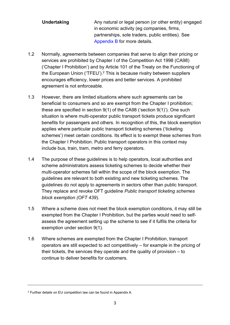## **Undertaking** Any natural or legal person (or other entity) engaged in economic activity (eg companies, firms, partnerships, sole traders, public entities). See [Appendix B](#page-47-1) for more details.

- 1.2 Normally, agreements between companies that serve to align their pricing or services are prohibited by Chapter I of the Competition Act 1998 (CA98) ('Chapter I Prohibition') and by Article 101 of the Treaty on the Functioning of the European Union ('TFEU').<sup>2</sup> This is because rivalry between suppliers encourages efficiency, lower prices and better services. A prohibited agreement is not enforceable.
- 1.3 However, there are limited situations where such agreements can be beneficial to consumers and so are exempt from the Chapter I prohibition; these are specified in section 9(1) of the CA98 ('section 9(1)'). One such situation is where multi-operator public transport tickets produce significant benefits for passengers and others. In recognition of this, the block exemption applies where particular public transport ticketing schemes ('ticketing schemes') meet certain conditions. Its effect is to exempt these schemes from the Chapter I Prohibition. Public transport operators in this context may include bus, train, tram, metro and ferry operators.
- 1.4 The purpose of these guidelines is to help operators, local authorities and scheme administrators assess ticketing schemes to decide whether their multi-operator schemes fall within the scope of the block exemption. The guidelines are relevant to both existing and new ticketing schemes. The guidelines do not apply to agreements in sectors other than public transport. They replace and revoke OFT guideline *Public transport ticketing schemes block exemption (OFT 439*).
- 1.5 Where a scheme does not meet the block exemption conditions, it may still be exempted from the Chapter I Prohibition, but the parties would need to selfassess the agreement setting up the scheme to see if it fulfils the criteria for exemption under section 9(1).
- 1.6 Where schemes are exempted from the Chapter I Prohibition, transport operators are still expected to act competitively – for example in the pricing of their tickets, the services they operate and the quality of provision – to continue to deliver benefits for customers.

<sup>2</sup> Further details on EU competition law can be found in Appendix A.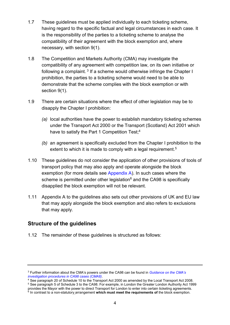- 1.7 These guidelines must be applied individually to each ticketing scheme, having regard to the specific factual and legal circumstances in each case. It is the responsibility of the parties to a ticketing scheme to analyse the compatibility of their agreement with the block exemption and, where necessary, with section 9(1).
- 1.8 The Competition and Markets Authority (CMA) may investigate the compatibility of any agreement with competition law, on its own initiative or following a complaint.<sup>3</sup> If a scheme would otherwise infringe the Chapter I prohibition, the parties to a ticketing scheme would need to be able to demonstrate that the scheme complies with the block exemption or with section 9(1).
- 1.9 There are certain situations where the effect of other legislation may be to disapply the Chapter I prohibition:
	- *(a)* local authorities have the power to establish mandatory ticketing schemes under the Transport Act 2000 or the Transport (Scotland) Act 2001 which have to satisfy the Part 1 Competition Test;<sup>4</sup>
	- *(b)* an agreement is specifically excluded from the Chapter I prohibition to the extent to which it is made to comply with a legal requirement.<sup>5</sup>
- 1.10 These guidelines do not consider the application of other provisions of tools of transport policy that may also apply and operate alongside the block exemption (for more details see [Appendix A\)](#page-44-1). In such cases where the scheme is permitted under other legislation $6$  and the CA98 is specifically disapplied the block exemption will not be relevant.
- 1.11 Appendix A to the guidelines also sets out other provisions of UK and EU law that may apply alongside the block exemption and also refers to exclusions that may apply.

## **Structure of the guidelines**

1.12 The remainder of these guidelines is structured as follows:

<sup>3</sup> Further information about the CMA's powers under the CA98 can be found in *[Guidance on the CMA's](https://www.gov.uk/government/publications/guidance-on-the-cmas-investigation-procedures-in-competition-act-1998-cases)  [investigation procedures in CA98 cases \(CMA8\)](https://www.gov.uk/government/publications/guidance-on-the-cmas-investigation-procedures-in-competition-act-1998-cases)*.

<sup>4</sup> See paragraph 20 of Schedule 10 to the Transport Act 2000 as amended by the Local Transport Act 2008. 5 See paragraph 5 of Schedule 3 to the CA98. For example, in London the Greater London Authority Act 1999 provides the Mayor with the power to direct Transport for London to enter into certain ticketing agreements. 6 In contrast to a non-statutory arrangement **which must meet the requirements of** the block exemption.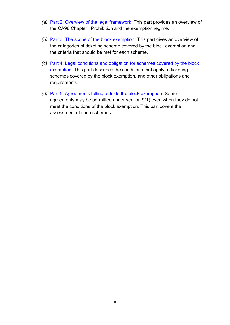- *(a)* [Part 2: Overview of the legal framework.](#page-7-1) This part provides an overview of the CA98 Chapter I Prohibition and the exemption regime.
- *(b)* [Part 3: The scope of the block exemption.](#page-10-1) This part gives an overview of the categories of ticketing scheme covered by the block exemption and the criteria that should be met for each scheme.
- *(c)* [Part 4: Legal conditions and obligation for schemes covered by the block](#page-22-1)  [exemption.](#page-22-1) This part describes the conditions that apply to ticketing schemes covered by the block exemption, and other obligations and requirements.
- *(d)* [Part 5: Agreements falling outside the block exemption.](#page-39-1) Some agreements may be permitted under section 9(1) even when they do not meet the conditions of the block exemption. This part covers the assessment of such schemes.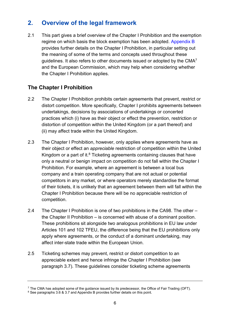# <span id="page-7-1"></span><span id="page-7-0"></span>**2. Overview of the legal framework**

2.1 This part gives a brief overview of the Chapter I Prohibition and the exemption regime on which basis the block exemption has been adopted. [Appendix B](#page-47-1) provides further details on the Chapter I Prohibition, in particular setting out the meaning of some of the terms and concepts used throughout these guidelines. It also refers to other documents issued or adopted by the CMA<sup>7</sup> and the European Commission, which may help when considering whether the Chapter I Prohibition applies.

## **The Chapter I Prohibition**

- 2.2 The Chapter I Prohibition prohibits certain agreements that prevent, restrict or distort competition. More specifically, Chapter I prohibits agreements between undertakings, decisions by associations of undertakings or concerted practices which (i) have as their object or effect the prevention, restriction or distortion of competition within the United Kingdom (or a part thereof) and (ii) may affect trade within the United Kingdom.
- 2.3 The Chapter I Prohibition, however, only applies where agreements have as their object or effect an *appreciable* restriction of competition within the United Kingdom or a part of it. $8$  Ticketing agreements containing clauses that have only a neutral or benign impact on competition do not fall within the Chapter I Prohibition. For example, where an agreement is between a local bus company and a train operating company that are not actual or potential competitors in any market, or where operators merely standardise the format of their tickets, it is unlikely that an agreement between them will fall within the Chapter I Prohibition because there will be no appreciable restriction of competition.
- 2.4 The Chapter I Prohibition is one of two prohibitions in the CA98. The other the Chapter II Prohibition – is concerned with abuse of a dominant position. These prohibitions sit alongside two analogous prohibitions in EU law under Articles 101 and 102 TFEU, the difference being that the EU prohibitions only apply where agreements, or the conduct of a dominant undertaking, may affect inter-state trade within the European Union.
- 2.5 Ticketing schemes may prevent, restrict or distort competition to an appreciable extent and hence infringe the Chapter I Prohibition (see paragraph 3.7). These guidelines consider ticketing scheme agreements

<sup>&</sup>lt;sup>7</sup> The CMA has adopted some of the guidance issued by its predecessor, the Office of Fair Trading (OFT).

<sup>&</sup>lt;sup>8</sup> See paragraphs 3.6 & 3.7 and Appendix B provides further details on this point.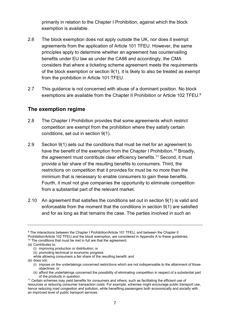primarily in relation to the Chapter I Prohibition, against which the block exemption is available.

- 2.6 The block exemption does not apply outside the UK, nor does it exempt agreements from the application of Article 101 TFEU. However, the same principles apply to determine whether an agreement has countervailing benefits under EU law as under the CA98 and accordingly, the CMA considers that where a ticketing scheme agreement meets the requirements of the block exemption or section 9(1), it is likely to also be treated as exempt from the prohibition in Article 101 TFEU.
- 2.7 This guidance is not concerned with abuse of a dominant position. No block exemptions are available from the Chapter II Prohibition or Article 102 TFEU.<sup>9</sup>

#### **The exemption regime**

- 2.8 The Chapter I Prohibition provides that some agreements which restrict competition are exempt from the prohibition where they satisfy certain conditions, set out in section 9(1).
- 2.9 Section 9(1) sets out the conditions that must be met for an agreement to have the benefit of the exemption from the Chapter I Prohibition.<sup>10</sup> Broadly, the agreement must contribute clear efficiency benefits.<sup>11</sup> Second, it must provide a fair share of the resulting benefits to consumers. Third, the restrictions on competition that it provides for must be no more than the minimum that is necessary to enable consumers to gain these benefits. Fourth, it must not give companies the opportunity to eliminate competition from a substantial part of the relevant market.
- 2.10 An agreement that satisfies the conditions set out in section 9(1) is valid and enforceable from the moment that the conditions in section 9(1) are satisfied and for as long as that remains the case. The parties involved in such an

*(b)* does not:

(ii) afford the undertakings concerned the possibility of eliminating competition in respect of a substantial part of the products in question.

<sup>&</sup>lt;sup>9</sup> The interactions between the Chapter I Prohibition/Article 101 TFEU, and between the Chapter II

Prohibition/Article 102 TFEU and the block exemption, are considered in Appendix A to these guidelines.

<sup>&</sup>lt;sup>10</sup> The conditions that must be met in full are that the agreement:

*<sup>(</sup>a)* Contributes to:

<sup>(</sup>i) improving production or distribution; or

<sup>(</sup>ii) promoting technical or economic progress

while allowing consumers a fair share of the resulting benefit; and

<sup>(</sup>i) impose on the undertakings concerned restrictions which are not indispensable to the attainment of those objectives; or

<sup>&</sup>lt;sup>11</sup> Certain schemes may yield benefits for consumers and others, such as facilitating the efficient use of resources or reducing consumer transaction costs. For example, schemes might encourage public transport use, hence reducing road congestion and pollution, while benefiting passengers both economically and socially with an improved level of public transport services.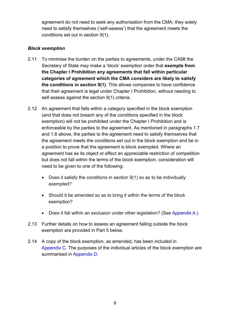agreement do not need to seek any authorisation from the CMA; they solely need to satisfy themselves ('self-assess') that the agreement meets the conditions set out in section 9(1).

#### *Block exemption*

- 2.11 To minimise the burden on the parties to agreements, under the CA98 the Secretary of State may make a 'block' exemption order that **exempts from the Chapter I Prohibition any agreements that fall within particular categories of agreement which the CMA considers are likely to satisfy the conditions in section 9(1)**. This allows companies to have confidence that their agreement is legal under Chapter I Prohibition, without needing to self-assess against the section 9(1) criteria.
- 2.12 An agreement that falls within a category specified in the block exemption (and that does not breach any of the conditions specified in the block exemption) will not be prohibited under the Chapter I Prohibition and is enforceable by the parties to the agreement. As mentioned in paragraphs 1.7 and 1.8 above, the parties to the agreement need to satisfy themselves that the agreement meets the conditions set out in the block exemption and be in a position to prove that the agreement is block exempted. Where an agreement has as its object or effect an appreciable restriction of competition but does not fall within the terms of the block exemption, consideration will need to be given to one of the following:
	- $\bullet$  Does it satisfy the conditions in section 9(1) so as to be individually exempted?
	- Should it be amended so as to bring it within the terms of the block exemption?
	- Does it fall within an exclusion under other legislation? (Se[e Appendix A.](#page-44-1))
- 2.13 Further details on how to assess an agreement falling outside the block exemption are provided in Part 5 below.
- 2.14 A copy of the block exemption, as amended, has been included in [Appendix C.](#page-49-1) The purposes of the individual articles of the block exemption are summarised in [Appendix D.](#page-58-1)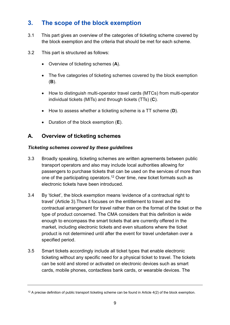# <span id="page-10-1"></span><span id="page-10-0"></span>**3. The scope of the block exemption**

- 3.1 This part gives an overview of the categories of ticketing scheme covered by the block exemption and the criteria that should be met for each scheme.
- 3.2 This part is structured as follows:
	- Overview of ticketing schemes (**A**).
	- The five categories of ticketing schemes covered by the block exemption (**B**).
	- How to distinguish multi-operator travel cards (MTCs) from multi-operator individual tickets (MITs) and through tickets (TTs) (**C**).
	- How to assess whether a ticketing scheme is a TT scheme (**D**).
	- Duration of the block exemption (**E**).

#### **A. Overview of ticketing schemes**

#### *Ticketing schemes covered by these guidelines*

- 3.3 Broadly speaking, ticketing schemes are written agreements between public transport operators and also may include local authorities allowing for passengers to purchase tickets that can be used on the services of more than one of the participating operators.<sup>12</sup> Over time, new ticket formats such as electronic tickets have been introduced.
- 3.4 By 'ticket', the block exemption means 'evidence of a contractual right to travel' (Article 3).Thus it focuses on the entitlement to travel and the contractual arrangement for travel rather than on the format of the ticket or the type of product concerned. The CMA considers that this definition is wide enough to encompass the smart tickets that are currently offered in the market, including electronic tickets and even situations where the ticket product is not determined until after the event for travel undertaken over a specified period.
- 3.5 Smart tickets accordingly include all ticket types that enable electronic ticketing without any specific need for a physical ticket to travel. The tickets can be sold and stored or activated on electronic devices such as smart cards, mobile phones, contactless bank cards, or wearable devices. The

 $12$  A precise definition of public transport ticketing scheme can be found in Article 4(2) of the block exemption.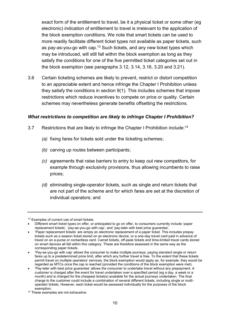exact form of the entitlement to travel, be it a physical ticket or some other (eg electronic) indication of entitlement to travel is irrelevant to the application of the block exemption conditions. We note that smart tickets can be used to more readily facilitate different ticket types not available as paper tickets, such as pay-as-you-go with cap.<sup>13</sup> Such tickets, and any new ticket types which may be introduced, will still fall within the block exemption as long as they satisfy the conditions for one of the five permitted ticket categories set out in the block exemption (see paragraphs 3.12, 3.14, 3.16, 3.20 and 3.21).

3.6 Certain ticketing schemes are likely to prevent, restrict or distort competition to an appreciable extent and hence infringe the Chapter I Prohibition unless they satisfy the conditions in section 9(1). This includes schemes that impose restrictions which reduce incentives to compete on price or quality. Certain schemes may nevertheless generate benefits offsetting the restrictions.

#### *What restrictions to competition are likely to infringe Chapter I Prohibition?*

- 3.7 Restrictions that are likely to infringe the Chapter I Prohibition include:<sup>14</sup>
	- *(a)* fixing fares for tickets sold under the ticketing schemes;
	- *(b)* carving up routes between participants;
	- *(c)* agreements that raise barriers to entry to keep out new competitors, for example through exclusivity provisions, thus allowing incumbents to raise prices;
	- *(d)* eliminating single-operator tickets, such as single and return tickets that are not part of the scheme and for which fares are set at the discretion of individual operators; and

<sup>&</sup>lt;sup>13</sup> Examples of current use of smart tickets:

Different smart ticket types on offer, or anticipated to go on offer, to consumers currently include 'paper replacement tickets', 'pay-as-you-go with cap', and 'pay-later with best price guarantee'.

 <sup>&#</sup>x27;Paper replacement tickets' are simply an electronic replacement of a paper ticket. This includes prepay tickets such as a season ticket stored on an electronic device, or a one-day travel card paid in advance of travel on an e-purse or contactless card. Carnet tickets, off-peak tickets and time-limited travel cards stored on smart devices all fall within this category. These are therefore assessed in the same way as the corresponding paper tickets.

 <sup>&#</sup>x27;Pay-as-you-go with cap' allows the consumer to make multiple journeys, paying standard single or return fares up to a predetermined price limit, after which any further travel is free. To the extent that these tickets permit travel on multiple operators' services, the block exemption would apply as, for example, they would be regarded as MTCs once the cap is reached (provided the conditions of the block exemption were met).

 <sup>&#</sup>x27;Pay-later with best price guarantee' allows the consumer to undertake travel without any prepayment. A customer is charged after the event for travel undertaken over a specified period (eg a day, a week or a month) and is charged for the cheapest ticket(s) available for the actual journeys undertaken. The final charge to the customer could include a combination of several different tickets, including single or multioperator tickets. However, each ticket would be assessed individually for the purposes of the block exemption.

<sup>&</sup>lt;sup>14</sup> These examples are not exhaustive.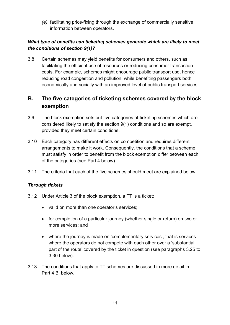*(e)* facilitating price-fixing through the exchange of commercially sensitive information between operators.

#### *What type of benefits can ticketing schemes generate which are likely to meet the conditions of section 9(1)?*

3.8 Certain schemes may yield benefits for consumers and others, such as facilitating the efficient use of resources or reducing consumer transaction costs. For example, schemes might encourage public transport use, hence reducing road congestion and pollution, while benefiting passengers both economically and socially with an improved level of public transport services.

## **B. The five categories of ticketing schemes covered by the block exemption**

- 3.9 The block exemption sets out five categories of ticketing schemes which are considered likely to satisfy the section 9(1) conditions and so are exempt, provided they meet certain conditions.
- 3.10 Each category has different effects on competition and requires different arrangements to make it work. Consequently, the conditions that a scheme must satisfy in order to benefit from the block exemption differ between each of the categories (see Part 4 below).
- 3.11 The criteria that each of the five schemes should meet are explained below.

#### *Through tickets*

- 3.12 Under Article 3 of the block exemption, a TT is a ticket:
	- valid on more than one operator's services;
	- for completion of a particular journey (whether single or return) on two or more services; and
	- where the journey is made on 'complementary services', that is services where the operators do not compete with each other over a 'substantial part of the route' covered by the ticket in question (see paragraphs 3.25 to 3.30 below).
- 3.13 The conditions that apply to TT schemes are discussed in more detail in Part 4 B. below.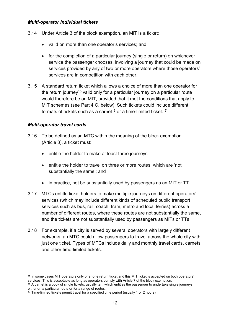#### *Multi-operator individual tickets*

- 3.14 Under Article 3 of the block exemption, an MIT is a ticket:
	- valid on more than one operator's services; and
	- for the completion of a particular journey (single or return) on whichever service the passenger chooses, involving a journey that could be made on services provided by any of two or more operators where those operators' services are in competition with each other.
- 3.15 A standard return ticket which allows a choice of more than one operator for the return journey<sup>15</sup> valid only for a particular journey on a particular route would therefore be an MIT, provided that it met the conditions that apply to MIT schemes (see Part 4 C. below). Such tickets could include different formats of tickets such as a carnet<sup>16</sup> or a time-limited ticket.<sup>17</sup>

#### *Multi-operator travel cards*

- <span id="page-13-0"></span>3.16 To be defined as an MTC within the meaning of the block exemption (Article 3), a ticket must:
	- entitle the holder to make at least three journeys;
	- entitle the holder to travel on three or more routes, which are 'not substantially the same'; and
	- in practice, not be substantially used by passengers as an MIT or TT.
- 3.17 MTCs entitle ticket holders to make multiple journeys on different operators' services (which may include different kinds of scheduled public transport services such as bus, rail, coach, tram, metro and local ferries) across a number of different routes, where these routes are not substantially the same, and the tickets are not substantially used by passengers as MITs or TTs.
- 3.18 For example, if a city is served by several operators with largely different networks, an MTC could allow passengers to travel across the whole city with just one ticket. Types of MTCs include daily and monthly travel cards, carnets, and other time-limited tickets.

<sup>&</sup>lt;sup>15</sup> In some cases MIT operators only offer one return ticket and this MIT ticket is accepted on both operators' services. This is acceptable as long as operators comply with Article 7 of the block exemption.

<sup>&</sup>lt;sup>16</sup> A carnet is a book of single tickets, usually ten, which entitles the passenger to undertake single journeys either on a particular route or for a range of routes.

<sup>&</sup>lt;sup>17</sup> Time-limited tickets permit travel for a specified time period (usually 1 or 2 hours).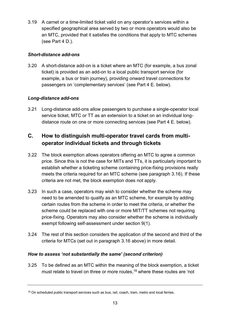3.19 A carnet or a time-limited ticket valid on any operator's services within a specified geographical area served by two or more operators would also be an MTC, provided that it satisfies the conditions that apply to MTC schemes (see Part 4 D.).

#### *Short-distance add-ons*

3.20 A short-distance add-on is a ticket where an MTC (for example, a bus zonal ticket) is provided as an add-on to a local public transport service (for example, a bus or train journey), providing onward travel connections for passengers on 'complementary services' (see Part 4 E. below).

#### *Long-distance add-ons*

3.21 Long-distance add-ons allow passengers to purchase a single-operator local service ticket, MTC or TT as an extension to a ticket on an individual longdistance route on one or more connecting services (see Part 4 E. below).

## **C. How to distinguish multi-operator travel cards from multioperator individual tickets and through tickets**

- 3.22 The block exemption allows operators offering an MTC to agree a common price. Since this is not the case for MITs and TTs, it is particularly important to establish whether a ticketing scheme containing price-fixing provisions really meets the criteria required for an MTC scheme (see paragraph 3.16). If these criteria are not met, the block exemption does not apply.
- 3.23 In such a case, operators may wish to consider whether the scheme may need to be amended to qualify as an MTC scheme, for example by adding certain routes from the scheme in order to meet the criteria, or whether the scheme could be replaced with one or more MIT/TT schemes not requiring price-fixing. Operators may also consider whether the scheme is individually exempt following self-assessment under section 9(1).
- 3.24 The rest of this section considers the application of the second and third of the criteria for MTCs (set out in paragraph [3.16](#page-13-0) above) in more detail.

#### *How to assess 'not substantially the same' (second criterion)*

3.25 To be defined as an MTC within the meaning of the block exemption, a ticket must relate to travel on three or more routes,<sup>18</sup> where these routes are 'not

<sup>&</sup>lt;sup>18</sup> On scheduled public transport services such as bus, rail, coach, tram, metro and local ferries.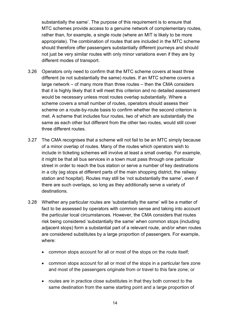substantially the same'. The purpose of this requirement is to ensure that MTC schemes provide access to a genuine network of complementary routes, rather than, for example, a single route (where an MIT is likely to be more appropriate). The combination of routes that are included in the MTC scheme should therefore offer passengers substantially different journeys and should not just be very similar routes with only minor variations even if they are by different modes of transport.

- 3.26 Operators only need to confirm that the MTC scheme covers at least three different (ie not substantially the same) routes. If an MTC scheme covers a large network – of many more than three routes – then the CMA considers that it is highly likely that it will meet this criterion and no detailed assessment would be necessary unless most routes overlap substantially. Where a scheme covers a small number of routes, operators should assess their scheme on a route-by-route basis to confirm whether the second criterion is met. A scheme that includes four routes, two of which are substantially the same as each other but different from the other two routes, would still cover three different routes.
- 3.27 The CMA recognises that a scheme will not fail to be an MTC simply because of a minor overlap of routes. Many of the routes which operators wish to include in ticketing schemes will involve at least a small overlap. For example, it might be that all bus services in a town must pass through one particular street in order to reach the bus station or serve a number of key destinations in a city (eg stops at different parts of the main shopping district, the railway station and hospital). Routes may still be 'not substantially the same', even if there are such overlaps, so long as they additionally serve a variety of destinations.
- 3.28 Whether any particular routes are 'substantially the same' will be a matter of fact to be assessed by operators with common sense and taking into account the particular local circumstances. However, the CMA considers that routes risk being considered 'substantially the same' when common stops (including adjacent stops) form a substantial part of a relevant route, and/or when routes are considered substitutes by a large proportion of passengers. For example, where:
	- common stops account for all or most of the stops on the route itself;
	- common stops account for all or most of the stops in a particular fare zone and most of the passengers originate from or travel to this fare zone; or
	- routes are in practice close substitutes in that they both connect to the same destination from the same starting point and a large proportion of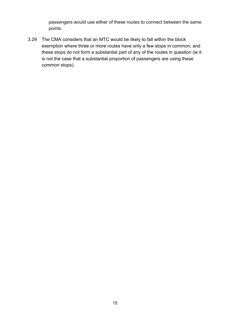passengers would use either of these routes to connect between the same points.

3.29 The CMA considers that an MTC would be likely to fall within the block exemption where three or more routes have only a few stops in common, and these stops do not form a substantial part of any of the routes in question (ie it is not the case that a substantial proportion of passengers are using these common stops).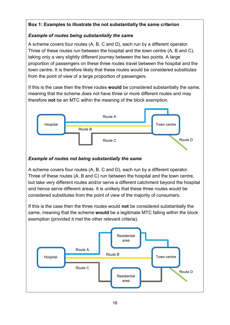#### **Box 1: Examples to illustrate the not substantially the same criterion**

### *Example of routes being substantially the same*

A scheme covers four routes (A, B, C and D), each run by a different operator. Three of these routes run between the hospital and the town centre (A, B and C), taking only a very slightly different journey between the two points. A large proportion of passengers on these three routes travel between the hospital and the town centre. It is therefore likely that these routes would be considered substitutes from the point of view of a large proportion of passengers.

If this is the case then the three routes **would** be considered substantially the same, meaning that the scheme does not have three or more different routes and may therefore **not** be an MTC within the meaning of the block exemption.



#### *Example of routes not being substantially the same*

A scheme covers four routes (A, B, C and D), each run by a different operator. Three of these routes (A, B and C) run between the hospital and the town centre, but take very different routes and/or serve a different catchment beyond the hospital and hence serve different areas. It is unlikely that these three routes would be considered substitutes from the point of view of the majority of consumers.

If this is the case then the three routes would **not** be considered substantially the same, meaning that the scheme **would** be a legitimate MTC falling within the block exemption (provided it met the other relevant criteria).

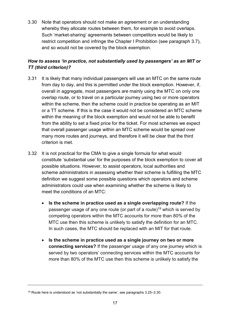3.30 Note that operators should not make an agreement or an understanding whereby they allocate routes between them, for example to avoid overlaps. Such 'market-sharing' agreements between competitors would be likely to restrict competition and infringe the Chapter I Prohibition (see paragraph 3.7), and so would not be covered by the block exemption.

### *How to assess 'in practice, not substantially used by passengers' as an MIT or TT (third criterion)?*

- 3.31 It is likely that many individual passengers will use an MTC on the same route from day to day, and this is permitted under the block exemption. However, if, overall in aggregate, most passengers are mainly using the MTC on only one overlap route, or to travel on a particular journey using two or more operators within the scheme, then the scheme could in practice be operating as an MIT or a TT scheme. If this is the case it would not be considered an MTC scheme within the meaning of the block exemption and would not be able to benefit from the ability to set a fixed price for the ticket. For most schemes we expect that overall passenger usage within an MTC scheme would be spread over many more routes and journeys, and therefore it will be clear that the third criterion is met.
- 3.32 It is not practical for the CMA to give a single formula for what would constitute 'substantial use' for the purposes of the block exemption to cover all possible situations. However, to assist operators, local authorities and scheme administrators in assessing whether their scheme is fulfilling the MTC definition we suggest some possible questions which operators and scheme administrators could use when examining whether the scheme is likely to meet the conditions of an MTC:
	- **Is the scheme in practice used as a single overlapping route?** If the passenger usage of any one route (or part of a route)<sup>19</sup> which is served by competing operators within the MTC accounts for more than 80% of the MTC use then this scheme is unlikely to satisfy the definition for an MTC. In such cases, the MTC should be replaced with an MIT for that route.
	- **Is the scheme in practice used as a single journey on two or more connecting services?** If the passenger usage of any one journey which is served by two operators' connecting services within the MTC accounts for more than 80% of the MTC use then this scheme is unlikely to satisfy the

<sup>19</sup> Route here is understood as 'not substantially the same', see paragraphs 3.25–3.30.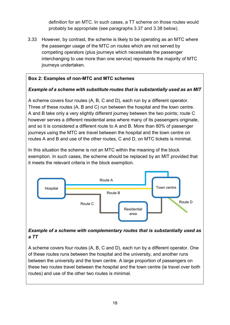definition for an MTC. In such cases, a TT scheme on those routes would probably be appropriate (see paragraphs 3.37 and 3.38 below).

3.33 However, by contrast, the scheme is likely to be operating as an MTC where the passenger usage of the MTC on routes which are not served by competing operators (plus journeys which necessitate the passenger interchanging to use more than one service) represents the majority of MTC journeys undertaken.

## **Box 2: Examples of non-MTC and MTC schemes**

#### *Example of a scheme with substitute routes that is substantially used as an MIT*

A scheme covers four routes (A, B, C and D), each run by a different operator. Three of these routes (A, B and C) run between the hospital and the town centre. A and B take only a very slightly different journey between the two points; route C however serves a different residential area where many of its passengers originate, and so it is considered a different route to A and B. More than 80% of passenger journeys using the MTC are travel between the hospital and the town centre on routes A and B and use of the other routes, C and D, on MTC tickets is minimal.

In this situation the scheme is not an MTC within the meaning of the block exemption. In such cases, the scheme should be replaced by an MIT provided that it meets the relevant criteria in the block exemption.



#### *Example of a scheme with complementary routes that is substantially used as a TT*

A scheme covers four routes (A, B, C and D), each run by a different operator. One of these routes runs between the hospital and the university, and another runs between the university and the town centre. A large proportion of passengers on these two routes travel between the hospital and the town centre (ie travel over both routes) and use of the other two routes is minimal.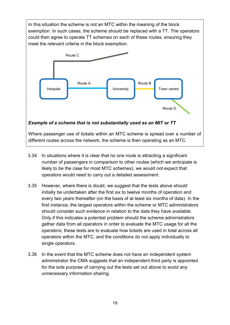In this situation the scheme is not an MTC within the meaning of the block exemption. In such cases, the scheme should be replaced with a TT. The operators could then agree to operate TT schemes on each of these routes, ensuring they meet the relevant criteria in the block exemption.



Where passenger use of tickets within an MTC scheme is spread over a number of different routes across the network, the scheme is then operating as an MTC.

- 3.34 In situations where it is clear that no one route is attracting a significant number of passengers in comparison to other routes (which we anticipate is likely to be the case for most MTC schemes), we would not expect that operators would need to carry out a detailed assessment.
- 3.35 However, where there is doubt, we suggest that the tests above should initially be undertaken after the first six to twelve months of operation and every two years thereafter (on the basis of at least six months of data). In the first instance, the largest operators within the scheme or MTC administrators should consider such evidence in relation to the data they have available. Only if this indicates a potential problem should the scheme administrators gather data from all operators in order to evaluate the MTC usage for all the operators; these tests are to evaluate how tickets are used in total across all operators within the MTC, and the conditions do not apply individually to single operators.
- 3.36 In the event that the MTC scheme does not have an independent system administrator the CMA suggests that an independent third party is appointed for the sole purpose of carrying out the tests set out above to avoid any unnecessary information sharing.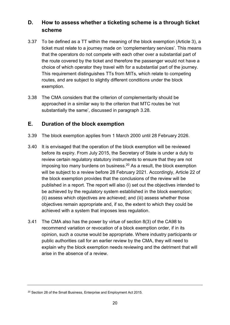## **D. How to assess whether a ticketing scheme is a through ticket scheme**

- 3.37 To be defined as a TT within the meaning of the block exemption (Article 3), a ticket must relate to a journey made on 'complementary services'. This means that the operators do not compete with each other over a substantial part of the route covered by the ticket and therefore the passenger would not have a choice of which operator they travel with for a substantial part of the journey. This requirement distinguishes TTs from MITs, which relate to competing routes, and are subject to slightly different conditions under the block exemption.
- 3.38 The CMA considers that the criterion of complementarity should be approached in a similar way to the criterion that MTC routes be 'not substantially the same', discussed in paragraph 3.28.

## **E. Duration of the block exemption**

- 3.39 The block exemption applies from 1 March 2000 until 28 February 2026.
- 3.40 It is envisaged that the operation of the block exemption will be reviewed before its expiry. From July 2015, the Secretary of State is under a duty to review certain regulatory statutory instruments to ensure that they are not imposing too many burdens on business.<sup>20</sup> As a result, the block exemption will be subject to a review before 28 February 2021. Accordingly, Article 22 of the block exemption provides that the conclusions of the review will be published in a report. The report will also (i) set out the objectives intended to be achieved by the regulatory system established in the block exemption; (ii) assess which objectives are achieved; and (iii) assess whether those objectives remain appropriate and, if so, the extent to which they could be achieved with a system that imposes less regulation.
- 3.41 The CMA also has the power by virtue of section 8(3) of the CA98 to recommend variation or revocation of a block exemption order, if in its opinion, such a course would be appropriate. Where industry participants or public authorities call for an earlier review by the CMA, they will need to explain why the block exemption needs reviewing and the detriment that will arise in the absence of a review.

<sup>&</sup>lt;sup>20</sup> Section 28 of the Small Business, Enterprise and Employment Act 2015.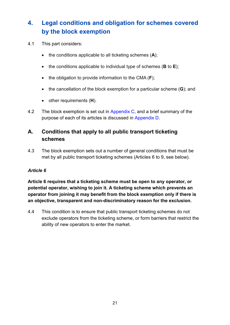# <span id="page-22-1"></span><span id="page-22-0"></span>**4. Legal conditions and obligation for schemes covered by the block exemption**

- 4.1 This part considers:
	- the conditions applicable to all ticketing schemes (**A**);
	- the conditions applicable to individual type of schemes (**B** to **E**);
	- the obligation to provide information to the CMA (**F**);
	- the cancellation of the block exemption for a particular scheme (**G**); and
	- other requirements (**H**).
- 4.2 The block exemption is set out in [Appendix C,](#page-49-1) and a brief summary of the purpose of each of its articles is discussed in [Appendix D.](#page-58-1)

## **A. Conditions that apply to all public transport ticketing schemes**

4.3 The block exemption sets out a number of general conditions that must be met by all public transport ticketing schemes (Articles 6 to 9, see below).

#### *Article 6*

**Article 6 requires that a ticketing scheme must be open to any operator, or potential operator, wishing to join it. A ticketing scheme which prevents an operator from joining it may benefit from the block exemption only if there is an objective, transparent and non-discriminatory reason for the exclusion.** 

4.4 This condition is to ensure that public transport ticketing schemes do not exclude operators from the ticketing scheme, or form barriers that restrict the ability of new operators to enter the market.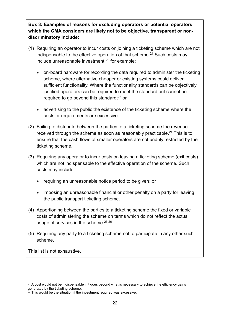**Box 3: Examples of reasons for excluding operators or potential operators which the CMA considers are likely not to be objective, transparent or nondiscriminatory include:**

- (1) Requiring an operator to incur costs on joining a ticketing scheme which are not indispensable to the effective operation of that scheme.<sup>21</sup> Such costs may include unreasonable investment, $^{22}$  for example:
	- on-board hardware for recording the data required to administer the ticketing scheme, where alternative cheaper or existing systems could deliver sufficient functionality. Where the functionality standards can be objectively justified operators can be required to meet the standard but cannot be required to go beyond this standard;<sup>23</sup> or
	- advertising to the public the existence of the ticketing scheme where the costs or requirements are excessive.
- (2) Failing to distribute between the parties to a ticketing scheme the revenue received through the scheme as soon as reasonably practicable.<sup>24</sup> This is to ensure that the cash flows of smaller operators are not unduly restricted by the ticketing scheme.
- (3) Requiring any operator to incur costs on leaving a ticketing scheme (exit costs) which are not indispensable to the effective operation of the scheme. Such costs may include:
	- requiring an unreasonable notice period to be given; or
	- imposing an unreasonable financial or other penalty on a party for leaving the public transport ticketing scheme.
- (4) Apportioning between the parties to a ticketing scheme the fixed or variable costs of administering the scheme on terms which do not reflect the actual usage of services in the scheme. 25,26
- (5) Requiring any party to a ticketing scheme not to participate in any other such scheme.

This list is not exhaustive.

 $21$  A cost would not be indispensable if it goes beyond what is necessary to achieve the efficiency gains generated by the ticketing scheme.

 $22$  This would be the situation if the investment required was excessive.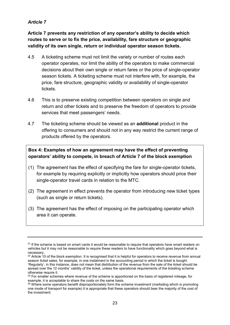#### *Article 7*

**Article 7 prevents any restriction of any operator's ability to decide which routes to serve or to fix the price, availability, fare structure or geographic validity of its own single, return or individual operator season tickets.**

- 4.5 A ticketing scheme must not limit the variety or number of routes each operator operates, nor limit the ability of the operators to make commercial decisions about their own single or return fares or the price of single-operator season tickets. A ticketing scheme must not interfere with, for example, the price, fare structure, geographic validity or availability of single-operator tickets.
- 4.6 This is to preserve existing competition between operators on single and return and other tickets and to preserve the freedom of operators to provide services that meet passengers' needs.
- 4.7 The ticketing scheme should be viewed as an **additional** product in the offering to consumers and should not in any way restrict the current range of products offered by the operators.

**Box 4: Examples of how an agreement may have the effect of preventing operators' ability to compete, in breach of Article 7 of the block exemption**

- (1) The agreement has the effect of specifying the fare for single-operator tickets, for example by requiring explicitly or implicitly how operators should price their single-operator travel cards in relation to the MTC.
- (2) The agreement in effect prevents the operator from introducing new ticket types (such as single or return tickets).
- (3) The agreement has the effect of imposing on the participating operator which area it can operate.

<sup>&</sup>lt;sup>23</sup> If the scheme is based on smart cards it would be reasonable to require that operators have smart readers on vehicles but it may not be reasonable to require these readers to have functionality which goes beyond what is necessary.

<sup>&</sup>lt;sup>24</sup> Article 10 of the block exemption. It is recognised that it is helpful for operators to receive revenue from annual season ticket sales, for example, in one instalment in the accounting period in which the ticket is bought. 'Regularly', in this instance, does not mean that distribution of the revenue from the sale of the ticket should be spread over the 12 months' validity of the ticket, unless the operational requirements of the ticketing scheme otherwise require it.

<sup>&</sup>lt;sup>25</sup> For smaller schemes where revenue of the scheme is apportioned on the basis of registered mileage, for example, it is acceptable to share the costs on the same basis.

<sup>&</sup>lt;sup>26</sup> Where some operators benefit disproportionately form the scheme investment (marketing which is promoting one mode of transport for example) it is appropriate that these operators should bear the majority of the cost of the investment.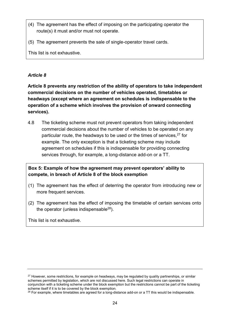- (4) The agreement has the effect of imposing on the participating operator the route(s) it must and/or must not operate.
- (5) The agreement prevents the sale of single-operator travel cards.

This list is not exhaustive.

#### *Article 8*

**Article 8 prevents any restriction of the ability of operators to take independent commercial decisions on the number of vehicles operated, timetables or headways (except where an agreement on schedules is indispensable to the operation of a scheme which involves the provision of onward connecting services).** 

4.8 The ticketing scheme must not prevent operators from taking independent commercial decisions about the number of vehicles to be operated on any particular route, the headways to be used or the times of services,  $27$  for example. The only exception is that a ticketing scheme may include agreement on schedules if this is indispensable for providing connecting services through, for example, a long-distance add-on or a TT.

#### **Box 5: Example of how the agreement may prevent operators' ability to compete, in breach of Article 8 of the block exemption**

- (1) The agreement has the effect of deterring the operator from introducing new or more frequent services.
- (2) The agreement has the effect of imposing the timetable of certain services onto the operator (unless indispensable $^{28}$ ).

This list is not exhaustive.

<sup>&</sup>lt;sup>27</sup> However, some restrictions, for example on headways, may be regulated by quality partnerships, or similar schemes permitted by legislation, which are not discussed here. Such legal restrictions can operate in conjunction with a ticketing scheme under the block exemption but the restrictions cannot be part of the ticketing scheme itself if it is to be covered by the block exemption.

<sup>&</sup>lt;sup>28</sup> For example, where timetables are agreed for a long-distance add-on or a TT this would be indispensable.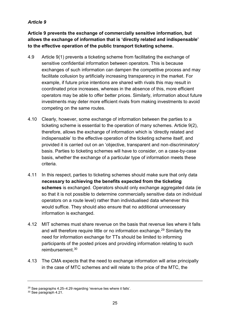#### *Article 9*

**Article 9 prevents the exchange of commercially sensitive information, but allows the exchange of information that is 'directly related and indispensable' to the effective operation of the public transport ticketing scheme.** 

- 4.9 Article 9(1) prevents a ticketing scheme from facilitating the exchange of sensitive confidential information between operators. This is because exchanges of such information can dampen the competitive process and may facilitate collusion by artificially increasing transparency in the market. For example, if future price intentions are shared with rivals this may result in coordinated price increases, whereas in the absence of this, more efficient operators may be able to offer better prices. Similarly, information about future investments may deter more efficient rivals from making investments to avoid competing on the same routes.
- 4.10 Clearly, however, some exchange of information between the parties to a ticketing scheme is essential to the operation of many schemes. Article 9(2), therefore, allows the exchange of information which is 'directly related and indispensable' to the effective operation of the ticketing scheme itself, and provided it is carried out on an 'objective, transparent and non-discriminatory' basis. Parties to ticketing schemes will have to consider, on a case-by-case basis, whether the exchange of a particular type of information meets these criteria.
- 4.11 In this respect, parties to ticketing schemes should make sure that only data **necessary to achieving the benefits expected from the ticketing schemes** is exchanged. Operators should only exchange aggregated data (ie so that it is not possible to determine commercially sensitive data on individual operators on a route level) rather than individualised data whenever this would suffice. They should also ensure that no additional unnecessary information is exchanged.
- 4.12 MIT schemes must share revenue on the basis that revenue lies where it falls and will therefore require little or no information exchange.<sup>29</sup> Similarly the need for information exchange for TTs should be limited to informing participants of the posted prices and providing information relating to such reimbursement.<sup>30</sup>
- 4.13 The CMA expects that the need to exchange information will arise principally in the case of MTC schemes and will relate to the price of the MTC, the

<sup>29</sup> See paragraphs 4.25–4.29 regarding 'revenue lies where it falls'.

<sup>30</sup> See paragraph 4.21.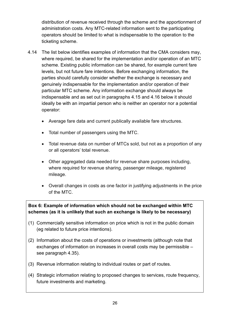distribution of revenue received through the scheme and the apportionment of administration costs. Any MTC-related information sent to the participating operators should be limited to what is indispensable to the operation to the ticketing scheme.

- 4.14 The list below identifies examples of information that the CMA considers may, where required, be shared for the implementation and/or operation of an MTC scheme. Existing public information can be shared, for example current fare levels, but not future fare intentions. Before exchanging information, the parties should carefully consider whether the exchange is necessary and genuinely indispensable for the implementation and/or operation of their particular MTC scheme. Any information exchange should always be indispensable and as set out in paragraphs 4.15 and 4.16 below it should ideally be with an impartial person who is neither an operator nor a potential operator:
	- Average fare data and current publically available fare structures.
	- Total number of passengers using the MTC.
	- Total revenue data on number of MTCs sold, but not as a proportion of any or all operators' total revenue.
	- Other aggregated data needed for revenue share purposes including, where required for revenue sharing, passenger mileage, registered mileage.
	- Overall changes in costs as one factor in justifying adjustments in the price of the MTC.

#### **Box 6: Example of information which should not be exchanged within MTC schemes (as it is unlikely that such an exchange is likely to be necessary)**

- (1) Commercially sensitive information on price which is not in the public domain (eg related to future price intentions).
- (2) Information about the costs of operations or investments (although note that exchanges of information on increases in overall costs may be permissible – see paragraph 4.35).
- (3) Revenue information relating to individual routes or part of routes.
- (4) Strategic information relating to proposed changes to services, route frequency, future investments and marketing.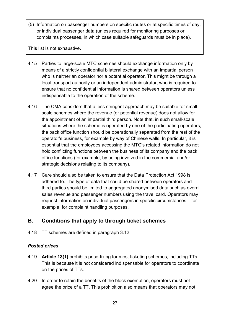(5) Information on passenger numbers on specific routes or at specific times of day, or individual passenger data (unless required for monitoring purposes or complaints processes, in which case suitable safeguards must be in place).

This list is not exhaustive.

- 4.15 Parties to large-scale MTC schemes should exchange information only by means of a strictly confidential bilateral exchange with an impartial person who is neither an operator nor a potential operator. This might be through a local transport authority or an independent administrator, who is required to ensure that no confidential information is shared between operators unless indispensable to the operation of the scheme.
- 4.16 The CMA considers that a less stringent approach may be suitable for smallscale schemes where the revenue (or potential revenue) does not allow for the appointment of an impartial third person. Note that, in such small-scale situations where the scheme is operated by one of the participating operators, the back office function should be operationally separated from the rest of the operator's business, for example by way of Chinese walls. In particular, it is essential that the employees accessing the MTC's related information do not hold conflicting functions between the business of its company and the back office functions (for example, by being involved in the commercial and/or strategic decisions relating to its company).
- 4.17 Care should also be taken to ensure that the Data Protection Act 1998 is adhered to. The type of data that could be shared between operators and third parties should be limited to aggregated anonymised data such as overall sales revenue and passenger numbers using the travel card. Operators may request information on individual passengers in specific circumstances – for example, for complaint handling purposes.

## **B. Conditions that apply to through ticket schemes**

4.18 TT schemes are defined in paragraph 3.12.

#### *Posted prices*

- 4.19 **Article 13(1)** prohibits price-fixing for most ticketing schemes, including TTs. This is because it is not considered indispensable for operators to coordinate on the prices of TTs.
- 4.20 In order to retain the benefits of the block exemption, operators must not agree the price of a TT. This prohibition also means that operators may not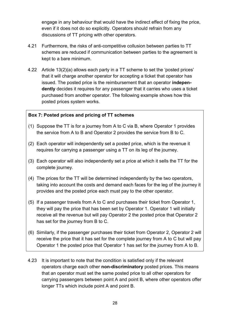engage in any behaviour that would have the indirect effect of fixing the price, even if it does not do so explicitly. Operators should refrain from any discussions of TT pricing with other operators.

- 4.21 Furthermore, the risks of anti-competitive collusion between parties to TT schemes are reduced if communication between parties to the agreement is kept to a bare minimum.
- 4.22 Article 13(2)(a) allows each party in a TT scheme to set the 'posted prices' that it will charge another operator for accepting a ticket that operator has issued. The posted price is the reimbursement that an operator **independently** decides it requires for any passenger that it carries who uses a ticket purchased from another operator. The following example shows how this posted prices system works.

#### **Box 7: Posted prices and pricing of TT schemes**

- (1) Suppose the TT is for a journey from A to C via B, where Operator 1 provides the service from A to B and Operator 2 provides the service from B to C.
- (2) Each operator will independently set a posted price, which is the revenue it requires for carrying a passenger using a TT on its leg of the journey.
- (3) Each operator will also independently set a price at which it sells the TT for the complete journey.
- (4) The prices for the TT will be determined independently by the two operators, taking into account the costs and demand each faces for the leg of the journey it provides and the posted price each must pay to the other operator.
- (5) If a passenger travels from A to C and purchases their ticket from Operator 1, they will pay the price that has been set by Operator 1. Operator 1 will initially receive all the revenue but will pay Operator 2 the posted price that Operator 2 has set for the journey from B to C.
- (6) Similarly, if the passenger purchases their ticket from Operator 2, Operator 2 will receive the price that it has set for the complete journey from A to C but will pay Operator 1 the posted price that Operator 1 has set for the journey from A to B.
- 4.23 It is important to note that the condition is satisfied only if the relevant operators charge each other **non-discriminatory** posted prices. This means that an operator must set the same posted price to all other operators for carrying passengers between point A and point B, where other operators offer longer TTs which include point A and point B.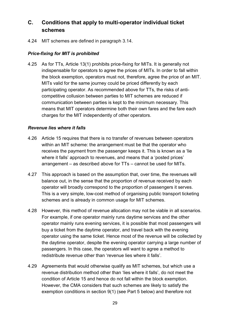## **C. Conditions that apply to multi-operator individual ticket schemes**

4.24 MIT schemes are defined in paragraph 3.14.

#### *Price-fixing for MIT is prohibited*

4.25 As for TTs, Article 13(1) prohibits price-fixing for MITs. It is generally not indispensable for operators to agree the prices of MITs. In order to fall within the block exemption, operators must not, therefore, agree the price of an MIT. MITs valid for the same journey could be priced differently by each participating operator. As recommended above for TTs, the risks of anticompetitive collusion between parties to MIT schemes are reduced if communication between parties is kept to the minimum necessary. This means that MIT operators determine both their own fares and the fare each charges for the MIT independently of other operators.

#### *Revenue lies where it falls*

- 4.26 Article 15 requires that there is no transfer of revenues between operators within an MIT scheme: the arrangement must be that the operator who receives the payment from the passenger keeps it. This is known as a 'lie where it falls' approach to revenues, and means that a 'posted prices' arrangement – as described above for TTs – cannot be used for MITs.
- 4.27 This approach is based on the assumption that, over time, the revenues will balance out, in the sense that the proportion of revenue received by each operator will broadly correspond to the proportion of passengers it serves. This is a very simple, low-cost method of organising public transport ticketing schemes and is already in common usage for MIT schemes.
- 4.28 However, this method of revenue allocation may not be viable in all scenarios. For example, if one operator mainly runs daytime services and the other operator mainly runs evening services, it is possible that most passengers will buy a ticket from the daytime operator, and travel back with the evening operator using the same ticket. Hence most of the revenue will be collected by the daytime operator, despite the evening operator carrying a large number of passengers. In this case, the operators will want to agree a method to redistribute revenue other than 'revenue lies where it falls'.
- 4.29 Agreements that would otherwise qualify as MIT schemes, but which use a revenue distribution method other than 'lies where it falls', do not meet the condition of Article 15 and hence do not fall within the block exemption. However, the CMA considers that such schemes are likely to satisfy the exemption conditions in section 9(1) (see Part 5 below) and therefore not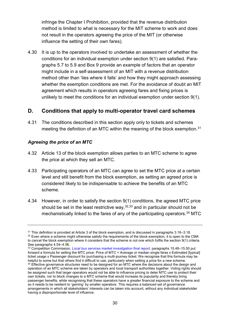infringe the Chapter I Prohibition, provided that the revenue distribution method is limited to what is necessary for the MIT scheme to work and does not result in the operators agreeing the price of the MIT (or otherwise influence the setting of their own fares).

4.30 It is up to the operators involved to undertake an assessment of whether the conditions for an individual exemption under section 9(1) are satisfied. Paragraphs 5.7 to 5.9 and Box 9 provide an example of factors that an operator might include in a self-assessment of an MIT with a revenue distribution method other than 'lies where it falls' and how they might approach assessing whether the exemption conditions are met. For the avoidance of doubt an MIT agreement which results in operators agreeing fares and fixing prices is unlikely to meet the conditions for an individual exemption under section 9(1).

## **D. Conditions that apply to multi-operator travel card schemes**

4.31 The conditions described in this section apply only to tickets and schemes meeting the definition of an MTC within the meaning of the block exemption.<sup>31</sup>

#### *Agreeing the price of an MTC*

- 4.32 Article 13 of the block exemption allows parties to an MTC scheme to agree the price at which they sell an MTC.
- 4.33 Participating operators of an MTC can agree to set the MTC price at a certain level and still benefit from the block exemption, as setting an agreed price is considered likely to be indispensable to achieve the benefits of an MTC scheme.
- 4.34 However, in order to satisfy the section 9(1) conditions, the agreed MTC price should be set in the least restrictive way,  $32,33$  and in particular should not be mechanistically linked to the fares of any of the participating operators.<sup>34</sup> MTC

<sup>31</sup> This definition is provided at Article 3 of the block exemption, and is discussed in paragraphs 3.16–3.18. <sup>32</sup> Even where a scheme might otherwise satisfy the requirements of the block exemption, it is open to the CMA to cancel the block exemption where it considers that the scheme is not one which fulfils the section 9(1) criteria. See paragraph[s 4.54](#page-37-0)[–4.56.](#page-37-1)

<sup>33</sup> Competition Commission, *[Local bus services market investigation final report](http://webarchive.nationalarchives.gov.uk/20140402141250/http:/www.competition-commission.org.uk/our-work/directory-of-all-inquiries/local-bus-services-market-investigation/final-report-and-appendices-glossary)*, paragraphs 15.48–15.50 put forward a formula for setting the MTC price: Price of MTC = Average or median single fares x Estimated [typical] ticket usage x Passenger discount for purchasing a multi-journey ticket. We recognise that this formula may be helpful to some but that others find it difficult to use, particularly when setting a price for a new scheme. <sup>34</sup> Effective governance structures need to be designed for an MTC where the decisions about the design and operation of an MTC scheme are taken by operators and local transport authorities together. Voting rights should be assigned such that larger operators would not be able to influence pricing to deter MTC use to protect their own tickets, nor to block changes to a MTC scheme that would increase its popularity and thereby bring passenger benefits, while recognising that these operators have a greater financial exposure to the scheme and so it needs to be resilient to 'gaming' by smaller operators. This requires a balanced set of governance

arrangements in which all stakeholders' interests can be taken into account, without any individual stakeholder having a disproportionate level of influence.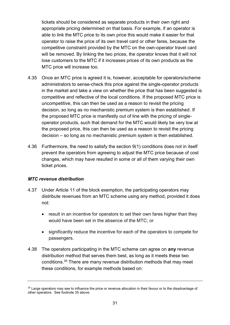tickets should be considered as separate products in their own right and appropriate pricing determined on that basis. For example, if an operator is able to link the MTC price to its own price this would make it easier for that operator to raise the price of its own travel card or other fares, because the competitive constraint provided by the MTC on the own-operator travel card will be removed. By linking the two prices, the operator knows that it will not lose customers to the MTC if it increases prices of its own products as the MTC price will increase too.

- 4.35 Once an MTC price is agreed it is, however, acceptable for operators/scheme administrators to sense-check this price against the single-operator products in the market and take a view on whether the price that has been suggested is competitive and reflective of the local conditions. If the proposed MTC price is uncompetitive, this can then be used as a reason to revisit the pricing decision, so long as no mechanistic premium system is then established. If the proposed MTC price is manifestly out of line with the pricing of singleoperator products, such that demand for the MTC would likely be very low at the proposed price, this can then be used as a reason to revisit the pricing decision – so long as no mechanistic premium system is then established.
- 4.36 Furthermore, the need to satisfy the section 9(1) conditions does not in itself prevent the operators from agreeing to adjust the MTC price because of cost changes, which may have resulted in some or all of them varying their own ticket prices.

#### *MTC revenue distribution*

- 4.37 Under Article 11 of the block exemption, the participating operators may distribute revenues from an MTC scheme using any method, provided it does not:
	- result in an incentive for operators to set their own fares higher than they would have been set in the absence of the MTC; or
	- significantly reduce the incentive for each of the operators to compete for passengers.
- 4.38 The operators participating in the MTC scheme can agree on **any** revenue distribution method that serves them best, as long as it meets these two conditions.<sup>35</sup> There are many revenue distribution methods that may meet these conditions, for example methods based on:

<sup>&</sup>lt;sup>35</sup> Large operators may see to influence the price or revenue allocation in their favour or to the disadvantage of other operators. See footnote 35 above.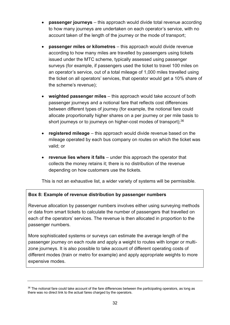- **passenger journeys**  this approach would divide total revenue according to how many journeys are undertaken on each operator's service, with no account taken of the length of the journey or the mode of transport;
- **passenger miles or kilometres** this approach would divide revenue according to how many miles are travelled by passengers using tickets issued under the MTC scheme, typically assessed using passenger surveys (for example, if passengers used the ticket to travel 100 miles on an operator's service, out of a total mileage of 1,000 miles travelled using the ticket on all operators' services, that operator would get a 10% share of the scheme's revenue);
- weighted passenger miles this approach would take account of both passenger journeys and a notional fare that reflects cost differences between different types of journey (for example, the notional fare could allocate proportionally higher shares on a per journey or per mile basis to short journeys or to journeys on higher-cost modes of transport);<sup>36</sup>
- **registered mileage**  this approach would divide revenue based on the mileage operated by each bus company on routes on which the ticket was valid; or
- **revenue lies where it falls**  under this approach the operator that collects the money retains it; there is no distribution of the revenue depending on how customers use the tickets.

This is not an exhaustive list, a wider variety of systems will be permissible.

#### **Box 8: Example of revenue distribution by passenger numbers**

Revenue allocation by passenger numbers involves either using surveying methods or data from smart tickets to calculate the number of passengers that travelled on each of the operators' services. The revenue is then allocated in proportion to the passenger numbers.

More sophisticated systems or surveys can estimate the average length of the passenger journey on each route and apply a weight to routes with longer or multizone journeys. It is also possible to take account of different operating costs of different modes (train or metro for example) and apply appropriate weights to more expensive modes.

<sup>&</sup>lt;sup>36</sup> The notional fare could take account of the fare differences between the participating operators, as long as there was no direct link to the actual fares charged by the operators.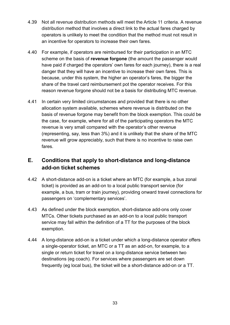- 4.39 Not all revenue distribution methods will meet the Article 11 criteria. A revenue distribution method that involves a direct link to the actual fares charged by operators is unlikely to meet the condition that the method must not result in an incentive for operators to increase their own fares.
- 4.40 For example, if operators are reimbursed for their participation in an MTC scheme on the basis of **revenue forgone** (the amount the passenger would have paid if charged the operators' own fares for each journey), there is a real danger that they will have an incentive to increase their own fares. This is because, under this system, the higher an operator's fares, the bigger the share of the travel card reimbursement pot the operator receives. For this reason revenue forgone should not be a basis for distributing MTC revenue.
- 4.41 In certain very limited circumstances and provided that there is no other allocation system available, schemes where revenue is distributed on the basis of revenue forgone may benefit from the block exemption. This could be the case, for example, where for all of the participating operators the MTC revenue is very small compared with the operator's other revenue (representing, say, less than 3%) and it is unlikely that the share of the MTC revenue will grow appreciably, such that there is no incentive to raise own fares.

## **E. Conditions that apply to short-distance and long-distance add-on ticket schemes**

- 4.42 A short-distance add-on is a ticket where an MTC (for example, a bus zonal ticket) is provided as an add-on to a local public transport service (for example, a bus, tram or train journey), providing onward travel connections for passengers on 'complementary services'.
- 4.43 As defined under the block exemption, short-distance add-ons only cover MTCs. Other tickets purchased as an add-on to a local public transport service may fall within the definition of a TT for the purposes of the block exemption.
- 4.44 A long-distance add-on is a ticket under which a long-distance operator offers a single-operator ticket, an MTC or a TT as an add-on, for example, to a single or return ticket for travel on a long-distance service between two destinations (eg coach). For services where passengers are set down frequently (eg local bus), the ticket will be a short-distance add-on or a TT.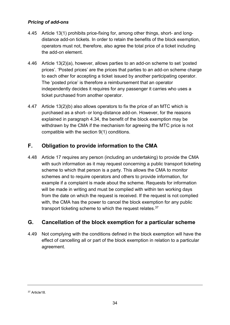#### *Pricing of add-ons*

- 4.45 Article 13(1) prohibits price-fixing for, among other things, short- and longdistance add-on tickets. In order to retain the benefits of the block exemption, operators must not, therefore, also agree the total price of a ticket including the add-on element.
- 4.46 Article 13(2)(a), however, allows parties to an add-on scheme to set 'posted prices'. 'Posted prices' are the prices that parties to an add-on scheme charge to each other for accepting a ticket issued by another participating operator. The 'posted price' is therefore a reimbursement that an operator independently decides it requires for any passenger it carries who uses a ticket purchased from another operator.
- 4.47 Article 13(2)(b) also allows operators to fix the price of an MTC which is purchased as a short- or long-distance add-on. However, for the reasons explained in paragraph 4.34, the benefit of the block exemption may be withdrawn by the CMA if the mechanism for agreeing the MTC price is not compatible with the section 9(1) conditions.

## **F. Obligation to provide information to the CMA**

4.48 Article 17 requires any person (including an undertaking) to provide the CMA with such information as it may request concerning a public transport ticketing scheme to which that person is a party. This allows the CMA to monitor schemes and to require operators and others to provide information, for example if a complaint is made about the scheme. Requests for information will be made in writing and must be complied with within ten working days from the date on which the request is received. If the request is not complied with, the CMA has the power to cancel the block exemption for any public transport ticketing scheme to which the request relates.<sup>37</sup>

## **G. Cancellation of the block exemption for a particular scheme**

4.49 Not complying with the conditions defined in the block exemption will have the effect of cancelling all or part of the block exemption in relation to a particular agreement.

<sup>37</sup> Article18.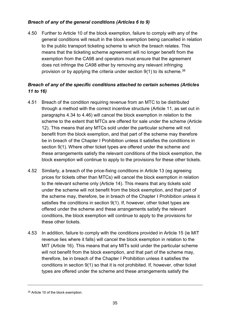#### *Breach of any of the general conditions (Articles 6 to 9)*

4.50 Further to Article 10 of the block exemption, failure to comply with any of the general conditions will result in the block exemption being cancelled in relation to the public transport ticketing scheme to which the breach relates. This means that the ticketing scheme agreement will no longer benefit from the exemption from the CA98 and operators must ensure that the agreement does not infringe the CA98 either by removing any relevant infringing provision or by applying the criteria under section  $9(1)$  to its scheme.<sup>38</sup>

## *Breach of any of the specific conditions attached to certain schemes (Articles 11 to 16)*

- 4.51 Breach of the condition requiring revenue from an MTC to be distributed through a method with the correct incentive structure (Article 11, as set out in paragraphs 4.34 to 4.46) will cancel the block exemption in relation to the scheme to the extent that MTCs are offered for sale under the scheme (Article 12). This means that any MTCs sold under the particular scheme will not benefit from the block exemption, and that part of the scheme may therefore be in breach of the Chapter I Prohibition unless it satisfies the conditions in section 9(1). Where other ticket types are offered under the scheme and these arrangements satisfy the relevant conditions of the block exemption, the block exemption will continue to apply to the provisions for these other tickets.
- 4.52 Similarly, a breach of the price-fixing conditions in Article 13 (eg agreeing prices for tickets other than MTCs) will cancel the block exemption in relation to the relevant scheme only (Article 14). This means that any tickets sold under the scheme will not benefit from the block exemption, and that part of the scheme may, therefore, be in breach of the Chapter I Prohibition unless it satisfies the conditions in section 9(1). If, however, other ticket types are offered under the scheme and these arrangements satisfy the relevant conditions, the block exemption will continue to apply to the provisions for these other tickets.
- 4.53 In addition, failure to comply with the conditions provided in Article 15 (ie MIT revenue lies where it falls) will cancel the block exemption in relation to the MIT (Article 16). This means that any MITs sold under the particular scheme will not benefit from the block exemption, and that part of the scheme may, therefore, be in breach of the Chapter I Prohibition unless it satisfies the conditions in section 9(1) so that it is not prohibited. If, however, other ticket types are offered under the scheme and these arrangements satisfy the

<sup>38</sup> Article 10 of the block exemption.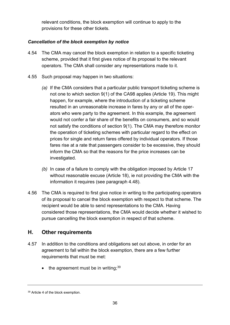relevant conditions, the block exemption will continue to apply to the provisions for these other tickets.

#### *Cancellation of the block exemption by notice*

- <span id="page-37-0"></span>4.54 The CMA may cancel the block exemption in relation to a specific ticketing scheme, provided that it first gives notice of its proposal to the relevant operators. The CMA shall consider any representations made to it.
- 4.55 Such proposal may happen in two situations:
	- *(a)* If the CMA considers that a particular public transport ticketing scheme is not one to which section 9(1) of the CA98 applies (Article 19). This might happen, for example, where the introduction of a ticketing scheme resulted in an unreasonable increase in fares by any or all of the operators who were party to the agreement. In this example, the agreement would not confer a fair share of the benefits on consumers, and so would not satisfy the conditions of section 9(1). The CMA may therefore monitor the operation of ticketing schemes with particular regard to the effect on prices for single and return fares offered by individual operators. If those fares rise at a rate that passengers consider to be excessive, they should inform the CMA so that the reasons for the price increases can be investigated.
	- *(b)* In case of a failure to comply with the obligation imposed by Article 17 without reasonable excuse (Article 18), ie not providing the CMA with the information it requires (see paragraph 4.48).
- <span id="page-37-1"></span>4.56 The CMA is required to first give notice in writing to the participating operators of its proposal to cancel the block exemption with respect to that scheme. The recipient would be able to send representations to the CMA. Having considered those representations, the CMA would decide whether it wished to pursue cancelling the block exemption in respect of that scheme.

## **H. Other requirements**

- 4.57 In addition to the conditions and obligations set out above, in order for an agreement to fall within the block exemption, there are a few further requirements that must be met:
	- $\bullet$  the agreement must be in writing;  $39$

<sup>39</sup> Article 4 of the block exemption.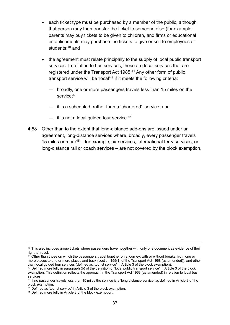- each ticket type must be purchased by a member of the public, although that person may then transfer the ticket to someone else (for example, parents may buy tickets to be given to children, and firms or educational establishments may purchase the tickets to give or sell to employees or students;<sup>40</sup> and
- the agreement must relate principally to the supply of local public transport services. In relation to bus services, these are local services that are registered under the Transport Act 1985.<sup>41</sup> Any other form of public transport service will be 'local'<sup>42</sup> if it meets the following criteria:
	- broadly, one or more passengers travels less than 15 miles on the service: 43
	- it is a scheduled, rather than a 'chartered', service; and
	- $-$  it is not a local quided tour service.  $44$
- 4.58 Other than to the extent that long-distance add-ons are issued under an agreement, long-distance services where, broadly, every passenger travels 15 miles or more<sup>45</sup> – for example, air services, international ferry services, or long-distance rail or coach services – are not covered by the block exemption.

<sup>&</sup>lt;sup>40</sup> This also includes group tickets where passengers travel together with only one document as evidence of their right to travel.

<sup>&</sup>lt;sup>41</sup> Other than those on which the passengers travel together on a journey, with or without breaks, from one or more places to one or more places and back (section 159(1) of the Transport Act 1968 (as amended)), and other than local guided tour services (defined as 'tourist service' in Article 3 of the block exemption).

<sup>&</sup>lt;sup>42</sup> Defined more fully in paragraph (b) of the definition of 'local public transport service' in Article 3 of the block exemption. This definition reflects the approach in the Transport Act 1968 (as amended) in relation to local bus services.

 $43$  If no passenger travels less than 15 miles the service is a 'long distance service' as defined in Article 3 of the block exemption.

<sup>44</sup> Defined as 'tourist service' in Article 3 of the block exemption.

<sup>45</sup> Defined more fully in Article 3 of the block exemption.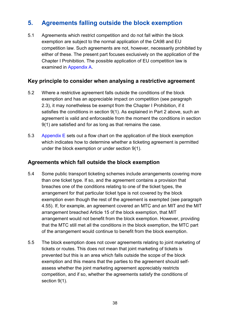# <span id="page-39-1"></span><span id="page-39-0"></span>**5. Agreements falling outside the block exemption**

5.1 Agreements which restrict competition and do not fall within the block exemption are subject to the normal application of the CA98 and EU competition law. Such agreements are not, however, necessarily prohibited by either of these. The present part focuses exclusively on the application of the Chapter I Prohibition. The possible application of EU competition law is examined in [Appendix A.](#page-44-1)

## **Key principle to consider when analysing a restrictive agreement**

- 5.2 Where a restrictive agreement falls outside the conditions of the block exemption and has an appreciable impact on competition (see paragraph 2.3), it may nonetheless be exempt from the Chapter I Prohibition, if it satisfies the conditions in section 9(1). As explained in Part 2 above, such an agreement is valid and enforceable from the moment the conditions in section 9(1) are satisfied and for as long as that remains the case.
- 5.3 [Appendix E](#page-60-1) sets out a flow chart on the application of the block exemption which indicates how to determine whether a ticketing agreement is permitted under the block exemption or under section 9(1).

## **Agreements which fall outside the block exemption**

- 5.4 Some public transport ticketing schemes include arrangements covering more than one ticket type. If so, and the agreement contains a provision that breaches one of the conditions relating to one of the ticket types, the arrangement for that particular ticket type is not covered by the block exemption even though the rest of the agreement is exempted (see paragraph 4.55). If, for example, an agreement covered an MTC and an MIT and the MIT arrangement breached Article 15 of the block exemption, that MIT arrangement would not benefit from the block exemption. However, providing that the MTC still met all the conditions in the block exemption, the MTC part of the arrangement would continue to benefit from the block exemption.
- 5.5 The block exemption does not cover agreements relating to joint marketing of tickets or routes. This does not mean that joint marketing of tickets is prevented but this is an area which falls outside the scope of the block exemption and this means that the parties to the agreement should selfassess whether the joint marketing agreement appreciably restricts competition, and if so, whether the agreements satisfy the conditions of section 9(1).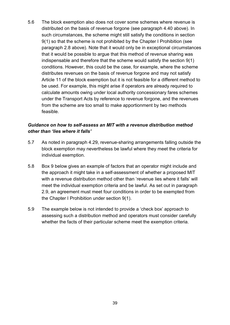5.6 The block exemption also does not cover some schemes where revenue is distributed on the basis of revenue forgone (see paragraph 4.40 above). In such circumstances, the scheme might still satisfy the conditions in section 9(1) so that the scheme is not prohibited by the Chapter I Prohibition (see paragraph 2.8 above). Note that it would only be in exceptional circumstances that it would be possible to argue that this method of revenue sharing was indispensable and therefore that the scheme would satisfy the section 9(1) conditions. However, this could be the case, for example, where the scheme distributes revenues on the basis of revenue forgone and may not satisfy Article 11 of the block exemption but it is not feasible for a different method to be used. For example, this might arise if operators are already required to calculate amounts owing under local authority concessionary fares schemes under the Transport Acts by reference to revenue forgone, and the revenues from the scheme are too small to make apportionment by two methods feasible.

#### *Guidance on how to self-assess an MIT with a revenue distribution method other than 'lies where it falls'*

- 5.7 As noted in paragraph 4.29, revenue-sharing arrangements falling outside the block exemption may nevertheless be lawful where they meet the criteria for individual exemption.
- 5.8 Box 9 below gives an example of factors that an operator might include and the approach it might take in a self-assessment of whether a proposed MIT with a revenue distribution method other than 'revenue lies where it falls' will meet the individual exemption criteria and be lawful. As set out in paragraph 2.9, an agreement must meet four conditions in order to be exempted from the Chapter I Prohibition under section 9(1).
- 5.9 The example below is not intended to provide a 'check box' approach to assessing such a distribution method and operators must consider carefully whether the facts of their particular scheme meet the exemption criteria.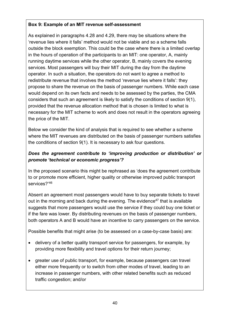#### **Box 9: Example of an MIT revenue self-assessment**

As explained in paragraphs 4.28 and 4.29, there may be situations where the 'revenue lies where it falls' method would not be viable and so a scheme falls outside the block exemption. This could be the case where there is a limited overlap in the hours of operation of the participants to an MIT: one operator, A, mainly running daytime services while the other operator, B, mainly covers the evening services. Most passengers will buy their MIT during the day from the daytime operator. In such a situation, the operators do not want to agree a method to redistribute revenue that involves the method 'revenue lies where it falls': they propose to share the revenue on the basis of passenger numbers. While each case would depend on its own facts and needs to be assessed by the parties, the CMA considers that such an agreement is likely to satisfy the conditions of section 9(1), provided that the revenue allocation method that is chosen is limited to what is necessary for the MIT scheme to work and does not result in the operators agreeing the price of the MIT.

Below we consider the kind of analysis that is required to see whether a scheme where the MIT revenues are distributed on the basis of passenger numbers satisfies the conditions of section 9(1). It is necessary to ask four questions.

## *Does the agreement contribute to 'improving production or distribution' or promote 'technical or economic progress'?*

In the proposed scenario this might be rephrased as 'does the agreement contribute to or promote more efficient, higher quality or otherwise improved public transport services?' 46

Absent an agreement most passengers would have to buy separate tickets to travel out in the morning and back during the evening. The evidence<sup>47</sup> that is available suggests that more passengers would use the service if they could buy one ticket or if the fare was lower. By distributing revenues on the basis of passenger numbers, both operators A and B would have an incentive to carry passengers on the service.

Possible benefits that might arise (to be assessed on a case-by-case basis) are:

- delivery of a better quality transport service for passengers, for example, by providing more flexibility and travel options for their return journey;
- greater use of public transport, for example, because passengers can travel either more frequently or to switch from other modes of travel, leading to an increase in passenger numbers, with other related benefits such as reduced traffic congestion; and/or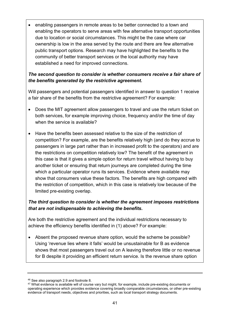enabling passengers in remote areas to be better connected to a town and enabling the operators to serve areas with few alternative transport opportunities due to location or social circumstances. This might be the case where car ownership is low in the area served by the route and there are few alternative public transport options. Research may have highlighted the benefits to the community of better transport services or the local authority may have established a need for improved connections.

#### *The second question to consider is whether consumers receive a fair share of the benefits generated by the restrictive agreement.*

Will passengers and potential passengers identified in answer to question 1 receive a fair share of the benefits from the restrictive agreement? For example:

- Does the MIT agreement allow passengers to travel and use the return ticket on both services, for example improving choice, frequency and/or the time of day when the service is available?
- Have the benefits been assessed relative to the size of the restriction of competition? For example, are the benefits relatively high (and do they accrue to passengers in large part rather than in increased profit to the operators) and are the restrictions on competition relatively low? The benefit of the agreement in this case is that it gives a simple option for return travel without having to buy another ticket or ensuring that return journeys are completed during the time which a particular operator runs its services. Evidence where available may show that consumers value these factors. The benefits are high compared with the restriction of competition, which in this case is relatively low because of the limited pre-existing overlap.

#### *The third question to consider is whether the agreement imposes restrictions that are not indispensable to achieving the benefits.*

Are both the restrictive agreement and the individual restrictions necessary to achieve the efficiency benefits identified in (1) above? For example:

 Absent the proposed revenue share option, would the scheme be possible? Using 'revenue lies where it falls' would be unsustainable for B as evidence shows that most passengers travel out on A leaving therefore little or no revenue for B despite it providing an efficient return service. Is the revenue share option

<sup>46</sup> See also paragraph 2.9 and footnote 8.

<sup>&</sup>lt;sup>47</sup> What evidence is available will of course vary but might, for example, include pre-existing documents or operating experience which provides evidence covering broadly comparable circumstances, or other pre-existing evidence of transport needs, objectives and priorities, such as local transport strategy documents.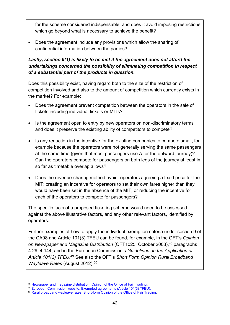for the scheme considered indispensable, and does it avoid imposing restrictions which go beyond what is necessary to achieve the benefit?

 Does the agreement include any provisions which allow the sharing of confidential information between the parties?

*Lastly, section 9(1) is likely to be met if the agreement does not afford the undertakings concerned the possibility of eliminating competition in respect of a substantial part of the products in question.*

Does this possibility exist, having regard both to the size of the restriction of competition involved and also to the amount of competition which currently exists in the market? For example:

- Does the agreement prevent competition between the operators in the sale of tickets including individual tickets or MITs?
- Is the agreement open to entry by new operators on non-discriminatory terms and does it preserve the existing ability of competitors to compete?
- Is any reduction in the incentive for the existing companies to compete small, for example because the operators were not generally serving the same passengers at the same time (given that most passengers use A for the outward journey)? Can the operators compete for passengers on both legs of the journey at least in so far as timetable overlap allows?
- Does the revenue-sharing method avoid: operators agreeing a fixed price for the MIT; creating an incentive for operators to set their own fares higher than they would have been set in the absence of the MIT; or reducing the incentive for each of the operators to compete for passengers?

The specific facts of a proposed ticketing scheme would need to be assessed against the above illustrative factors, and any other relevant factors, identified by operators.

Further examples of how to apply the individual exemption criteria under section 9 of the CA98 and Article 101(3) TFEU can be found, for example, in the OFT's *Opinion on Newspaper and Magazine Distribution* (OFT1025, October 2008), <sup>48</sup> paragraphs 4.29–4.144, and in the European Commission's *Guidelines on the Application of Article 101(3) TFEU.* <sup>49</sup> See also the OFT's *Short Form Opinion Rural Broadband Wayleave Rates* (August 2012). 50

<sup>48</sup> [Newspaper and magazine distribution: Opinion of the Office of Fair Trading.](http://webarchive.nationalarchives.gov.uk/20140525130048/http:/www.oft.gov.uk/OFTwork/publications/publication-categories/reports/competition-policy/oft1025)

<sup>49</sup> [European Commission website: Exempted agreements \(Article 101\(3\) TFEU\).](http://ec.europa.eu/competition/antitrust/legislation/art101_3_en.html)

<sup>50</sup> [Rural broadband wayleave rates: Short-form Opinion of the Office of Fair Trading.](http://webarchive.nationalarchives.gov.uk/20140525130048/http:/www.oft.gov.uk/OFTwork/competition-act-and-cartels/short-form-opinions/)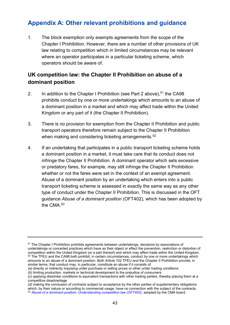# <span id="page-44-1"></span><span id="page-44-0"></span>**Appendix A: Other relevant prohibitions and guidance**

1. The block exemption only exempts agreements from the scope of the Chapter I Prohibition. However, there are a number of other provisions of UK law relating to competition which in limited circumstances may be relevant where an operator participates in a particular ticketing scheme, which operators should be aware of.

## **UK competition law: the Chapter II Prohibition on abuse of a dominant position**

- 2. In addition to the Chapter I Prohibition (see Part 2 above).<sup>51</sup> the CA98 prohibits conduct by one or more undertakings which amounts to an abuse of a dominant position in a market and which may affect trade within the United Kingdom or any part of it (the Chapter II Prohibition).
- 3. There is no provision for exemption from the Chapter II Prohibition and public transport operators therefore remain subject to the Chapter II Prohibition when making and considering ticketing arrangements.<sup>52</sup>
- 4. If an undertaking that participates in a public transport ticketing scheme holds a dominant position in a market, it must take care that its conduct does not infringe the Chapter II Prohibition. A dominant operator which sets excessive or predatory fares, for example, may still infringe the Chapter II Prohibition whether or not the fares were set in the context of an exempt agreement. Abuse of a dominant position by an undertaking which enters into a public transport ticketing scheme is assessed in exactly the same way as any other type of conduct under the Chapter II Prohibition. This is discussed in the OFT guidance *Abuse of a dominant position* (OFT402), which has been adopted by the CMA  $53$

<sup>&</sup>lt;sup>51</sup> The Chapter I Prohibition prohibits agreements between undertakings, decisions by associations of undertakings or concerted practices which have as their object or effect the prevention, restriction or distortion of competition within the United Kingdom (or a part thereof) and which may affect trade within the United Kingdom. <sup>52</sup> The TFEU and the CA98 both prohibit, in certain circumstances, conduct by one or more undertakings which amounts to an abuse of a dominant position. Both Article 102 TFEU and the Chapter II Prohibition provide, in similar terms, that conduct may, in particular, constitute an abuse if it consists of:

*<sup>(</sup>a)* directly or indirectly imposing unfair purchase or selling prices or other unfair trading conditions

*<sup>(</sup>b)* limiting production, markets or technical development to the prejudice of consumers

*<sup>(</sup>c)* applying dissimilar conditions to equivalent transactions with other trading parties, thereby placing them at a competitive disadvantage

*<sup>(</sup>d)* making the conclusion of contracts subject to acceptance by the other parties of supplementary obligations which, by their nature or according to commercial usage, have no connection with the subject of the contracts. <sup>53</sup> *[Abuse of a dominant position: Understanding competition law \(OFT402\),](https://www.gov.uk/government/publications/abuse-of-a-dominant-position)* adopted by the CMA board.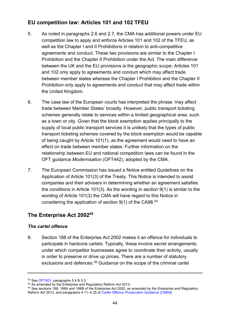## **EU competition law: Articles 101 and 102 TFEU**

- 5. As noted in paragraphs 2.6 and 2.7, the CMA has additional powers under EU competition law to apply and enforce Articles 101 and 102 of the TFEU, as well as the Chapter I and II Prohibitions in relation to anti-competitive agreements and conduct. These two provisions are similar to the Chapter I Prohibition and the Chapter II Prohibition under the Act. The main difference between the UK and the EU provisions is the geographic scope: Articles 101 and 102 only apply to agreements and conduct which may affect trade between member states whereas the Chapter I Prohibition and the Chapter II Prohibition only apply to agreements and conduct that may affect trade within the United Kingdom.
- 6. The case law of the European courts has interpreted the phrase 'may affect trade between Member States' broadly. However, public transport ticketing schemes generally relate to services within a limited geographical area, such as a town or city. Given that the block exemption applies principally to the supply of local public transport services it is unlikely that the types of public transport ticketing schemes covered by the block exemption would be capable of being caught by Article 101(1), as the agreement would need to have an effect on trade between member states. Further information on the relationship between EU and national competition laws can be found in the OFT guidance *Modernisation* (OFT442), adopted by the CMA.
- 7. The European Commission has issued a Notice entitled Guidelines on the Application of Article 101(3) of the Treaty. This Notice is intended to assist companies and their advisers in determining whether an agreement satisfies the conditions in Article 101(3). As the wording in section 9(1) is similar to the wording of Article 101(3) the CMA will have regard to this Notice in considering the application of section 9(1) of the CA98.<sup>54</sup>

## **The Enterprise Act 2002<sup>55</sup>**

#### *The cartel offence*

8. Section 188 of the Enterprise Act 2002 makes it an offence for individuals to participate in hardcore cartels. Typically, these involve secret arrangements under which competitor businesses agree to coordinate their activity, usually in order to preserve or drive up prices. There are a number of statutory exclusions and defences.<sup>56</sup> Guidance on the scope of the criminal cartel

<sup>54</sup> Se[e OFT401,](https://www.gov.uk/government/publications/agreements-and-concerted-practices-understanding-competition-law) paragraphs 5.4 & 5.5.

<sup>55</sup> As amended by the Enterprise and Regulatory Reform Act 2013.

<sup>56</sup> See sections 188, 188A and 188B of the Enterprise Act 2002, as amended by the Enterprise and Regulatory Reform Act 2013, and paragraphs 4.11–4.25 of *[Cartel Offence Prosecution Guidance \(CMA9\)](https://www.gov.uk/government/publications/cartel-offence-prosecution-guidance)*.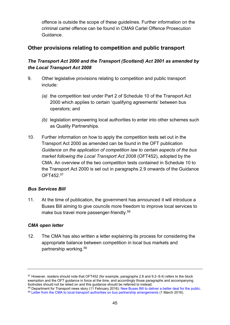offence is outside the scope of these guidelines. Further information on the criminal cartel offence can be found in CMA9 Cartel Offence Prosecution Guidance.

## **Other provisions relating to competition and public transport**

#### *The Transport Act 2000 and the Transport (Scotland) Act 2001 as amended by the Local Transport Act 2008*

- 9. Other legislative provisions relating to competition and public transport include:
	- *(a)* the competition test under Part 2 of Schedule 10 of the Transport Act 2000 which applies to certain 'qualifying agreements' between bus operators; and
	- *(b)* legislation empowering local authorities to enter into other schemes such as Quality Partnerships.
- 10. Further information on how to apply the competition tests set out in the Transport Act 2000 as amended can be found in the OFT publication *Guid*a*nce on the application of competition law to certain aspects of the bus market following the Local Transport Act 2008* (OFT452), adopted by the CMA. An overview of the two competition tests contained in Schedule 10 to the Transport Act 2000 is set out in paragraphs 2.9 onwards of the Guidance OFT452.<sup>57</sup>

#### *Bus Services Bill*

11. At the time of publication, the government has announced it will introduce a Buses Bill aiming to give councils more freedom to improve local services to make bus travel more passenger-friendly.<sup>58</sup>

#### *CMA open letter*

12. The CMA has also written a letter explaining its process for considering the appropriate balance between competition in local bus markets and partnership working.<sup>59</sup>

<sup>57</sup> However, readers should note that OFT452 (for example, paragraphs 2.8 and 9.2–9.4) refers to the block exemption and the OFT guidance in force at the time, and accordingly those paragraphs and accompanying footnotes should not be relied on and this guidance should be referred to instead.

<sup>58</sup> Department for Transport news story (11 February 2016): [New Buses Bill to deliver a better deal for the public.](https://www.gov.uk/government/news/new-buses-bill-to-deliver-a-better-deal-for-the-public)

<sup>59</sup> [Letter from the CMA to local transport authorities on bus partnership arrangements \(](https://www.gov.uk/government/publications/letter-from-the-cma-to-local-transport-authorities-on-bus-partnership-arrangements)1 March 2016).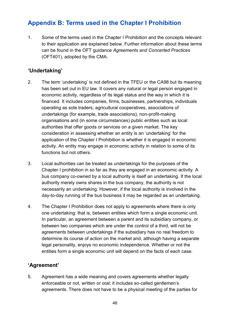# <span id="page-47-1"></span><span id="page-47-0"></span>**Appendix B: Terms used in the Chapter I Prohibition**

1. Some of the terms used in the Chapter I Prohibition and the concepts relevant to their application are explained below. Further information about these terms can be found in the OFT guidance *Agreements and Concerted Practices* (OFT401), adopted by the CMA.

## **'Undertaking'**

- 2. The term 'undertaking' is not defined in the TFEU or the CA98 but its meaning has been set out in EU law. It covers any natural or legal person engaged in economic activity, regardless of its legal status and the way in which it is financed. It includes companies, firms, businesses, partnerships, individuals operating as sole traders, agricultural cooperatives, associations of undertakings (for example, trade associations), non-profit-making organisations and (in some circumstances) public entities such as local authorities that offer goods or services on a given market. The key consideration in assessing whether an entity is an 'undertaking' for the application of the Chapter I Prohibition is whether it is engaged in economic activity. An entity may engage in economic activity in relation to some of its functions but not others.
- 3. Local authorities can be treated as undertakings for the purposes of the Chapter I prohibition in so far as they are engaged in an economic activity. A bus company co-owned by a local authority is itself an undertaking. If the local authority merely owns shares in the bus company, the authority is not necessarily an undertaking. However, if the local authority is involved in the day-to-day running of the bus business it may be regarded as an undertaking.
- 4. The Chapter I Prohibition does not apply to agreements where there is only one undertaking: that is, between entities which form a single economic unit. In particular, an agreement between a parent and its subsidiary company, or between two companies which are under the control of a third, will not be agreements between undertakings if the subsidiary has no real freedom to determine its course of action on the market and, although having a separate legal personality, enjoys no economic independence. Whether or not the entities form a single economic unit will depend on the facts of each case.

## **'Agreement'**

5. Agreement has a wide meaning and covers agreements whether legally enforceable or not, written or oral; it includes so-called gentlemen's agreements. There does not have to be a physical meeting of the parties for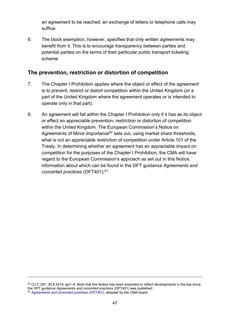an agreement to be reached: an exchange of letters or telephone calls may suffice.

6. The block exemption, however, specifies that only written agreements may benefit from it. This is to encourage transparency between parties and potential parties on the terms of their particular public transport ticketing scheme.

## **The prevention, restriction or distortion of competition**

- 7. The Chapter I Prohibition applies where the object or effect of the agreement is to prevent, restrict or distort competition within the United Kingdom (or a part of the United Kingdom where the agreement operates or is intended to operate only in that part).
- 8. An agreement will fall within the Chapter I Prohibition only if it has as its object or effect an *appreciable* prevention, restriction or distortion of competition within the United Kingdom. The European Commission's Notice on Agreements of Minor Importance<sup>60</sup> sets out, using market share thresholds, what is not an appreciable restriction of competition under Article 101 of the Treaty. In determining whether an agreement has an appreciable impact on competition for the purposes of the Chapter I Prohibition, the CMA will have regard to the European Commission's approach as set out in this Notice, information about which can be found in the OFT guidance *Agreements and concerted practices* (OFT401).<sup>61</sup>

 $60$  OJ C 291, 30.8.2014, pp1–4. Note that this Notice has been amended to reflect developments in the law since the OFT guidance *Agreements and concerted practices* (OFT401) was published. <sup>61</sup> *[Agreements and concerted practices \(OFT401\)](https://www.gov.uk/government/publications/agreements-and-concerted-practices-understanding-competition-law)*, adopted by the CMA board.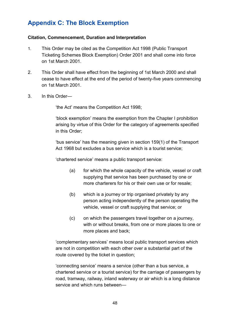# <span id="page-49-1"></span><span id="page-49-0"></span>**Appendix C: The Block Exemption**

#### **Citation, Commencement, Duration and Interpretation**

- 1. This Order may be cited as the Competition Act 1998 (Public Transport Ticketing Schemes Block Exemption) Order 2001 and shall come into force on 1st March 2001.
- 2. This Order shall have effect from the beginning of 1st March 2000 and shall cease to have effect at the end of the period of twenty-five years commencing on 1st March 2001.
- 3. In this Order—

'the Act' means the Competition Act 1998;

'block exemption' means the exemption from the Chapter I prohibition arising by virtue of this Order for the category of agreements specified in this Order;

'bus service' has the meaning given in section 159(1) of the Transport Act 1968 but excludes a bus service which is a tourist service;

'chartered service' means a public transport service:

- (a) for which the whole capacity of the vehicle, vessel or craft supplying that service has been purchased by one or more charterers for his or their own use or for resale;
- (b) which is a journey or trip organised privately by any person acting independently of the person operating the vehicle, vessel or craft supplying that service; or
- (c) on which the passengers travel together on a journey, with or without breaks, from one or more places to one or more places and back;

'complementary services' means local public transport services which are not in competition with each other over a substantial part of the route covered by the ticket in question;

'connecting service' means a service (other than a bus service, a chartered service or a tourist service) for the carriage of passengers by road, tramway, railway, inland waterway or air which is a long distance service and which runs between—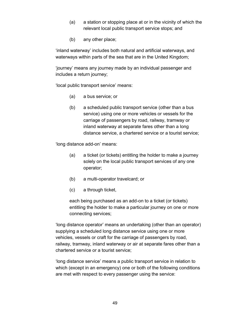- (a) a station or stopping place at or in the vicinity of which the relevant local public transport service stops; and
- (b) any other place;

'inland waterway' includes both natural and artificial waterways, and waterways within parts of the sea that are in the United Kingdom;

'journey' means any journey made by an individual passenger and includes a return journey;

'local public transport service' means:

- (a) a bus service; or
- (b) a scheduled public transport service (other than a bus service) using one or more vehicles or vessels for the carriage of passengers by road, railway, tramway or inland waterway at separate fares other than a long distance service, a chartered service or a tourist service;

'long distance add-on' means:

- (a) a ticket (or tickets) entitling the holder to make a journey solely on the local public transport services of any one operator;
- (b) a multi-operator travelcard; or
- (c) a through ticket,

each being purchased as an add-on to a ticket (or tickets) entitling the holder to make a particular journey on one or more connecting services;

'long distance operator' means an undertaking (other than an operator) supplying a scheduled long distance service using one or more vehicles, vessels or craft for the carriage of passengers by road, railway, tramway, inland waterway or air at separate fares other than a chartered service or a tourist service;

'long distance service' means a public transport service in relation to which (except in an emergency) one or both of the following conditions are met with respect to every passenger using the service: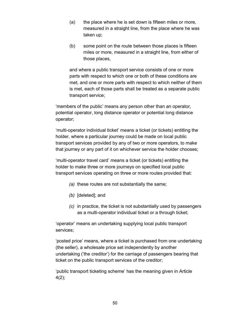- (a) the place where he is set down is fifteen miles or more, measured in a straight line, from the place where he was taken up;
- (b) some point on the route between those places is fifteen miles or more, measured in a straight line, from either of those places,

and where a public transport service consists of one or more parts with respect to which one or both of these conditions are met, and one or more parts with respect to which neither of them is met, each of those parts shall be treated as a separate public transport service;

'members of the public' means any person other than an operator, potential operator, long distance operator or potential long distance operator;

'multi-operator individual ticket' means a ticket (or tickets) entitling the holder, where a particular journey could be made on local public transport services provided by any of two or more operators, to make that journey or any part of it on whichever service the holder chooses;

'multi-operator travel card' means a ticket (or tickets) entitling the holder to make three or more journeys on specified local public transport services operating on three or more routes provided that:

- *(a)* these routes are not substantially the same;
- *(b)* [deleted]; and
- *(c)* in practice, the ticket is not substantially used by passengers as a multi-operator individual ticket or a through ticket;

'operator' means an undertaking supplying local public transport services;

'posted price' means, where a ticket is purchased from one undertaking (the seller), a wholesale price set independently by another undertaking ('the creditor') for the carriage of passengers bearing that ticket on the public transport services of the creditor;

'public transport ticketing scheme' has the meaning given in Article  $4(2)$ ;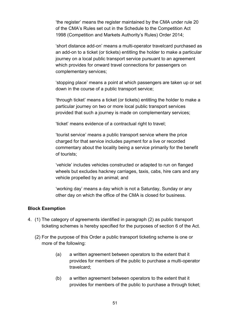'the register' means the register maintained by the CMA under rule 20 of the CMA's Rules set out in the Schedule to the Competition Act 1998 (Competition and Markets Authority's Rules) Order 2014;

'short distance add-on' means a multi-operator travelcard purchased as an add-on to a ticket (or tickets) entitling the holder to make a particular journey on a local public transport service pursuant to an agreement which provides for onward travel connections for passengers on complementary services;

'stopping place' means a point at which passengers are taken up or set down in the course of a public transport service;

'through ticket' means a ticket (or tickets) entitling the holder to make a particular journey on two or more local public transport services provided that such a journey is made on complementary services;

'ticket' means evidence of a contractual right to travel;

'tourist service' means a public transport service where the price charged for that service includes payment for a live or recorded commentary about the locality being a service primarily for the benefit of tourists;

'vehicle' includes vehicles constructed or adapted to run on flanged wheels but excludes hackney carriages, taxis, cabs, hire cars and any vehicle propelled by an animal; and

'working day' means a day which is not a Saturday, Sunday or any other day on which the office of the CMA is closed for business.

#### **Block Exemption**

- 4. (1) The category of agreements identified in paragraph (2) as public transport ticketing schemes is hereby specified for the purposes of section 6 of the Act.
	- (2) For the purpose of this Order a public transport ticketing scheme is one or more of the following:
		- (a) a written agreement between operators to the extent that it provides for members of the public to purchase a multi-operator travelcard;
		- (b) a written agreement between operators to the extent that it provides for members of the public to purchase a through ticket;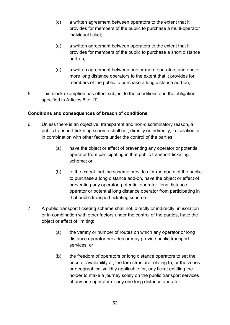- (c) a written agreement between operators to the extent that it provides for members of the public to purchase a multi-operator individual ticket;
- (d) a written agreement between operators to the extent that it provides for members of the public to purchase a short distance add-on;
- (e) a written agreement between one or more operators and one or more long distance operators to the extent that it provides for members of the public to purchase a long distance add-on;
- 5. This block exemption has effect subject to the conditions and the obligation specified in Articles 6 to 17.

#### **Conditions and consequences of breach of conditions**

- 6. Unless there is an objective, transparent and non-discriminatory reason, a public transport ticketing scheme shall not, directly or indirectly, in isolation or in combination with other factors under the control of the parties:
	- (a) have the object or effect of preventing any operator or potential operator from participating in that public transport ticketing scheme; or
	- (b) to the extent that the scheme provides for members of the public to purchase a long distance add-on, have the object or effect of preventing any operator, potential operator, long distance operator or potential long distance operator from participating in that public transport ticketing scheme.
- 7. A public transport ticketing scheme shall not, directly or indirectly, in isolation or in combination with other factors under the control of the parties, have the object or effect of limiting:
	- (a) the variety or number of routes on which any operator or long distance operator provides or may provide public transport services; or
	- (b) the freedom of operators or long distance operators to set the price or availability of, the fare structure relating to, or the zones or geographical validity applicable for, any ticket entitling the holder to make a journey solely on the public transport services of any one operator or any one long distance operator.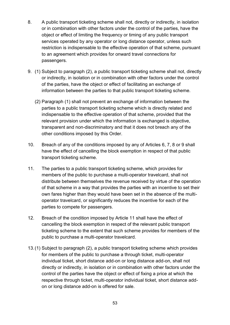- 8. A public transport ticketing scheme shall not, directly or indirectly, in isolation or in combination with other factors under the control of the parties, have the object or effect of limiting the frequency or timing of any public transport services operated by any operator or long distance operator, unless such restriction is indispensable to the effective operation of that scheme, pursuant to an agreement which provides for onward travel connections for passengers.
- 9. (1) Subject to paragraph (2), a public transport ticketing scheme shall not, directly or indirectly, in isolation or in combination with other factors under the control of the parties, have the object or effect of facilitating an exchange of information between the parties to that public transport ticketing scheme.
	- (2) Paragraph (1) shall not prevent an exchange of information between the parties to a public transport ticketing scheme which is directly related and indispensable to the effective operation of that scheme, provided that the relevant provision under which the information is exchanged is objective, transparent and non-discriminatory and that it does not breach any of the other conditions imposed by this Order.
- 10. Breach of any of the conditions imposed by any of Articles 6, 7, 8 or 9 shall have the effect of cancelling the block exemption in respect of that public transport ticketing scheme.
- 11. The parties to a public transport ticketing scheme, which provides for members of the public to purchase a multi-operator travelcard, shall not distribute between themselves the revenue received by virtue of the operation of that scheme in a way that provides the parties with an incentive to set their own fares higher than they would have been set in the absence of the multioperator travelcard, or significantly reduces the incentive for each of the parties to compete for passengers.
- 12. Breach of the condition imposed by Article 11 shall have the effect of cancelling the block exemption in respect of the relevant public transport ticketing scheme to the extent that such scheme provides for members of the public to purchase a multi-operator travelcard.
- 13. (1) Subject to paragraph (2), a public transport ticketing scheme which provides for members of the public to purchase a through ticket, multi-operator individual ticket, short distance add-on or long distance add-on, shall not directly or indirectly, in isolation or in combination with other factors under the control of the parties have the object or effect of fixing a price at which the respective through ticket, multi-operator individual ticket, short distance addon or long distance add-on is offered for sale.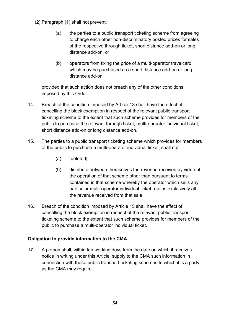- (2) Paragraph (1) shall not prevent:
	- (a) the parties to a public transport ticketing scheme from agreeing to charge each other non-discriminatory posted prices for sales of the respective through ticket, short distance add-on or long distance add-on; or
	- (b) operators from fixing the price of a multi-operator travelcard which may be purchased as a short distance add-on or long distance add-on

provided that such action does not breach any of the other conditions imposed by this Order.

- 14. Breach of the condition imposed by Article 13 shall have the effect of cancelling the block exemption in respect of the relevant public transport ticketing scheme to the extent that such scheme provides for members of the public to purchase the relevant through ticket, multi-operator individual ticket, short distance add-on or long distance add-on.
- 15. The parties to a public transport ticketing scheme which provides for members of the public to purchase a multi-operator individual ticket, shall not:
	- (a) [deleted]
	- (b) distribute between themselves the revenue received by virtue of the operation of that scheme other than pursuant to terms contained in that scheme whereby the operator which sells any particular multi-operator individual ticket retains exclusively all the revenue received from that sale.
- 16. Breach of the condition imposed by Article 15 shall have the effect of cancelling the block exemption in respect of the relevant public transport ticketing scheme to the extent that such scheme provides for members of the public to purchase a multi-operator individual ticket.

#### **Obligation to provide information to the CMA**

17. A person shall, within ten working days from the date on which it receives notice in writing under this Article, supply to the CMA such information in connection with those public transport ticketing schemes to which it is a party as the CMA may require.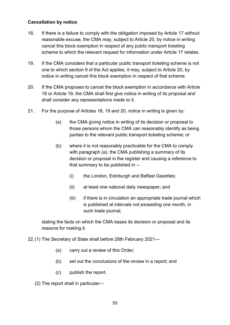#### **Cancellation by notice**

- 18. If there is a failure to comply with the obligation imposed by Article 17 without reasonable excuse, the CMA may, subject to Article 20, by notice in writing cancel this block exemption in respect of any public transport ticketing scheme to which the relevant request for information under Article 17 relates.
- 19. If the CMA considers that a particular public transport ticketing scheme is not one to which section 9 of the Act applies, it may, subject to Article 20, by notice in writing cancel this block exemption in respect of that scheme.
- 20. If the CMA proposes to cancel the block exemption in accordance with Article 18 or Article 19, the CMA shall first give notice in writing of its proposal and shall consider any representations made to it.
- 21. For the purpose of Articles 18, 19 and 20, notice in writing is given by:
	- (a) the CMA giving notice in writing of its decision or proposal to those persons whom the CMA can reasonably identify as being parties to the relevant public transport ticketing scheme; or
	- (b) where it is not reasonably practicable for the CMA to comply with paragraph (a), the CMA publishing a summary of its decision or proposal in the register and causing a reference to that summary to be published in --
		- (i) the London, Edinburgh and Belfast Gazettes;
		- (ii) at least one national daily newspaper; and
		- (iii) if there is in circulation an appropriate trade journal which is published at intervals not exceeding one month, in such trade journal,

stating the facts on which the CMA bases its decision or proposal and its reasons for making it.

22. (1) The Secretary of State shall before 28th February 2021—

- (a) carry out a review of this Order;
- (b) set out the conclusions of the review in a report; and
- (c) publish the report.
- (2) The report shall in particular—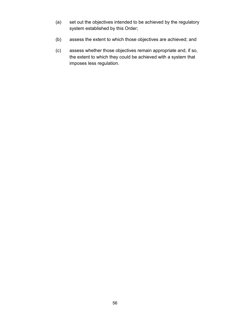- (a) set out the objectives intended to be achieved by the regulatory system established by this Order;
- (b) assess the extent to which those objectives are achieved; and
- (c) assess whether those objectives remain appropriate and, if so, the extent to which they could be achieved with a system that imposes less regulation.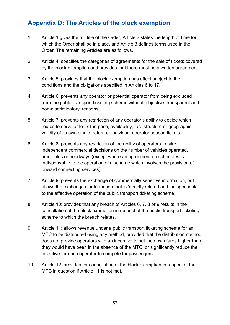# <span id="page-58-1"></span><span id="page-58-0"></span>**Appendix D: The Articles of the block exemption**

- 1. Article 1 gives the full title of the Order, Article 2 states the length of time for which the Order shall be in place, and Article 3 defines terms used in the Order. The remaining Articles are as follows.
- 2. Article 4: specifies the categories of agreements for the sale of tickets covered by the block exemption and provides that there must be a written agreement.
- 3. Article 5: provides that the block exemption has effect subject to the conditions and the obligations specified in Articles 6 to 17.
- 4. Article 6: prevents any operator or potential operator from being excluded from the public transport ticketing scheme without 'objective, transparent and non-discriminatory' reasons.
- 5. Article 7: prevents any restriction of any operator's ability to decide which routes to serve or to fix the price, availability, fare structure or geographic validity of its own single, return or individual operator season tickets.
- 6. Article 8: prevents any restriction of the ability of operators to take independent commercial decisions on the number of vehicles operated, timetables or headways (except where an agreement on schedules is indispensable to the operation of a scheme which involves the provision of onward connecting services).
- 7. Article 9: prevents the exchange of commercially sensitive information, but allows the exchange of information that is 'directly related and indispensable' to the effective operation of the public transport ticketing scheme.
- 8. Article 10: provides that any breach of Articles 6, 7, 8 or 9 results in the cancellation of the block exemption in respect of the public transport ticketing scheme to which the breach relates.
- 9. Article 11: allows revenue under a public transport ticketing scheme for an MTC to be distributed using any method, provided that the distribution method does not provide operators with an incentive to set their own fares higher than they would have been in the absence of the MTC, or significantly reduce the incentive for each operator to compete for passengers.
- 10. Article 12: provides for cancellation of the block exemption in respect of the MTC in question if Article 11 is not met.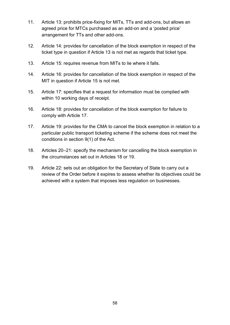- 11. Article 13: prohibits price-fixing for MITs, TTs and add-ons, but allows an agreed price for MTCs purchased as an add-on and a 'posted price' arrangement for TTs and other add-ons.
- 12. Article 14: provides for cancellation of the block exemption in respect of the ticket type in question if Article 13 is not met as regards that ticket type.
- 13. Article 15: requires revenue from MITs to lie where it falls.
- 14. Article 16: provides for cancellation of the block exemption in respect of the MIT in question if Article 15 is not met.
- 15. Article 17: specifies that a request for information must be complied with within 10 working days of receipt.
- 16. Article 18: provides for cancellation of the block exemption for failure to comply with Article 17.
- 17. Article 19: provides for the CMA to cancel the block exemption in relation to a particular public transport ticketing scheme if the scheme does not meet the conditions in section 9(1) of the Act.
- 18. Articles 20–21: specify the mechanism for cancelling the block exemption in the circumstances set out in Articles 18 or 19.
- 19. Article 22: sets out an obligation for the Secretary of State to carry out a review of the Order before it expires to assess whether its objectives could be achieved with a system that imposes less regulation on businesses.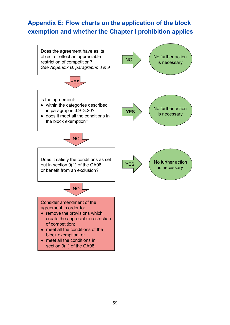# <span id="page-60-0"></span>**Appendix E: Flow charts on the application of the block exemption and whether the Chapter I prohibition applies**

<span id="page-60-1"></span>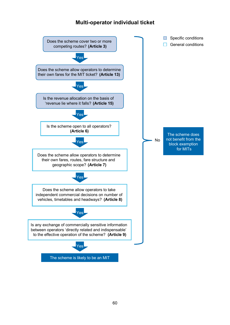## **Multi-operator individual ticket**